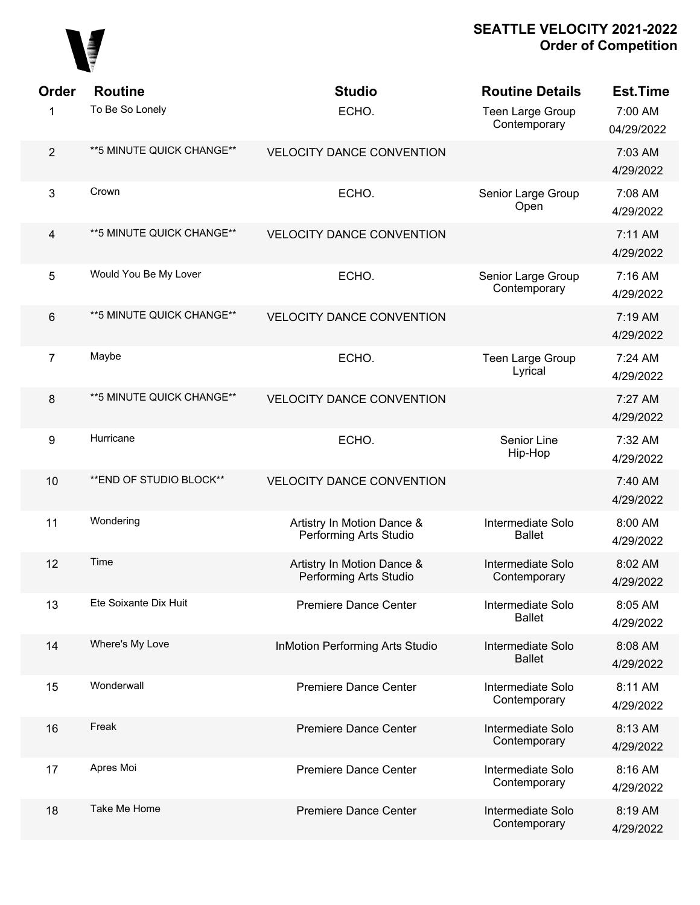

| Order                   | <b>Routine</b>             | <b>Studio</b>                                        | <b>Routine Details</b>             | <b>Est.Time</b>       |
|-------------------------|----------------------------|------------------------------------------------------|------------------------------------|-----------------------|
| 1                       | To Be So Lonely            | ECHO.                                                | Teen Large Group<br>Contemporary   | 7:00 AM<br>04/29/2022 |
| $\overline{2}$          | ** 5 MINUTE QUICK CHANGE** | <b>VELOCITY DANCE CONVENTION</b>                     |                                    | 7:03 AM<br>4/29/2022  |
| 3                       | Crown                      | ECHO.                                                | Senior Large Group<br>Open         | 7:08 AM<br>4/29/2022  |
| $\overline{\mathbf{4}}$ | **5 MINUTE QUICK CHANGE**  | <b>VELOCITY DANCE CONVENTION</b>                     |                                    | 7:11 AM<br>4/29/2022  |
| 5                       | Would You Be My Lover      | ECHO.                                                | Senior Large Group<br>Contemporary | 7:16 AM<br>4/29/2022  |
| 6                       | ** 5 MINUTE QUICK CHANGE** | <b>VELOCITY DANCE CONVENTION</b>                     |                                    | 7:19 AM<br>4/29/2022  |
| $\overline{7}$          | Maybe                      | ECHO.                                                | Teen Large Group<br>Lyrical        | 7:24 AM<br>4/29/2022  |
| 8                       | ** 5 MINUTE QUICK CHANGE** | <b>VELOCITY DANCE CONVENTION</b>                     |                                    | 7:27 AM<br>4/29/2022  |
| 9                       | Hurricane                  | ECHO.                                                | Senior Line<br>Hip-Hop             | 7:32 AM<br>4/29/2022  |
| 10                      | ** END OF STUDIO BLOCK**   | <b>VELOCITY DANCE CONVENTION</b>                     |                                    | 7:40 AM<br>4/29/2022  |
| 11                      | Wondering                  | Artistry In Motion Dance &<br>Performing Arts Studio | Intermediate Solo<br><b>Ballet</b> | 8:00 AM<br>4/29/2022  |
| 12                      | Time                       | Artistry In Motion Dance &<br>Performing Arts Studio | Intermediate Solo<br>Contemporary  | 8:02 AM<br>4/29/2022  |
| 13                      | Ete Soixante Dix Huit      | <b>Premiere Dance Center</b>                         | Intermediate Solo<br><b>Ballet</b> | 8:05 AM<br>4/29/2022  |
| 14                      | Where's My Love            | <b>InMotion Performing Arts Studio</b>               | Intermediate Solo<br><b>Ballet</b> | 8:08 AM<br>4/29/2022  |
| 15                      | Wonderwall                 | <b>Premiere Dance Center</b>                         | Intermediate Solo<br>Contemporary  | 8:11 AM<br>4/29/2022  |
| 16                      | Freak                      | <b>Premiere Dance Center</b>                         | Intermediate Solo<br>Contemporary  | 8:13 AM<br>4/29/2022  |
| 17                      | Apres Moi                  | <b>Premiere Dance Center</b>                         | Intermediate Solo<br>Contemporary  | 8:16 AM<br>4/29/2022  |
| 18                      | Take Me Home               | <b>Premiere Dance Center</b>                         | Intermediate Solo<br>Contemporary  | 8:19 AM<br>4/29/2022  |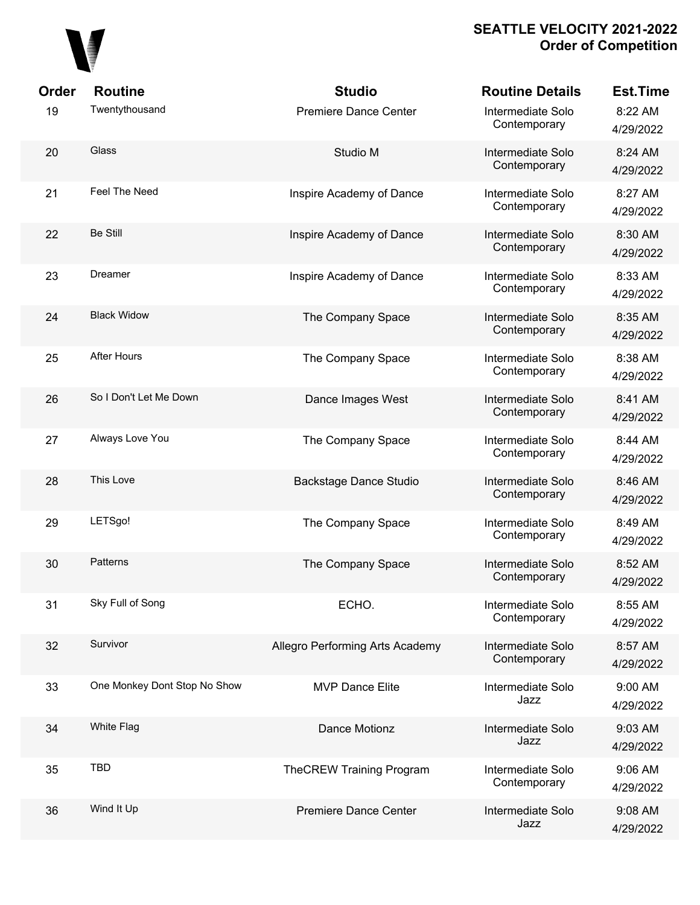

| Order | <b>Routine</b>               | <b>Studio</b>                   | <b>Routine Details</b>            | <b>Est.Time</b>      |
|-------|------------------------------|---------------------------------|-----------------------------------|----------------------|
| 19    | Twentythousand               | <b>Premiere Dance Center</b>    | Intermediate Solo<br>Contemporary | 8:22 AM<br>4/29/2022 |
| 20    | Glass                        | Studio M                        | Intermediate Solo<br>Contemporary | 8:24 AM<br>4/29/2022 |
| 21    | Feel The Need                | Inspire Academy of Dance        | Intermediate Solo<br>Contemporary | 8:27 AM<br>4/29/2022 |
| 22    | <b>Be Still</b>              | Inspire Academy of Dance        | Intermediate Solo<br>Contemporary | 8:30 AM<br>4/29/2022 |
| 23    | Dreamer                      | Inspire Academy of Dance        | Intermediate Solo<br>Contemporary | 8:33 AM<br>4/29/2022 |
| 24    | <b>Black Widow</b>           | The Company Space               | Intermediate Solo<br>Contemporary | 8:35 AM<br>4/29/2022 |
| 25    | <b>After Hours</b>           | The Company Space               | Intermediate Solo<br>Contemporary | 8:38 AM<br>4/29/2022 |
| 26    | So I Don't Let Me Down       | Dance Images West               | Intermediate Solo<br>Contemporary | 8:41 AM<br>4/29/2022 |
| 27    | Always Love You              | The Company Space               | Intermediate Solo<br>Contemporary | 8:44 AM<br>4/29/2022 |
| 28    | This Love                    | Backstage Dance Studio          | Intermediate Solo<br>Contemporary | 8:46 AM<br>4/29/2022 |
| 29    | LETSgo!                      | The Company Space               | Intermediate Solo<br>Contemporary | 8:49 AM<br>4/29/2022 |
| 30    | Patterns                     | The Company Space               | Intermediate Solo<br>Contemporary | 8:52 AM<br>4/29/2022 |
| 31    | Sky Full of Song             | ECHO.                           | Intermediate Solo<br>Contemporary | 8:55 AM<br>4/29/2022 |
| 32    | Survivor                     | Allegro Performing Arts Academy | Intermediate Solo<br>Contemporary | 8:57 AM<br>4/29/2022 |
| 33    | One Monkey Dont Stop No Show | <b>MVP Dance Elite</b>          | Intermediate Solo<br>Jazz         | 9:00 AM<br>4/29/2022 |
| 34    | White Flag                   | Dance Motionz                   | Intermediate Solo<br>Jazz         | 9:03 AM<br>4/29/2022 |
| 35    | <b>TBD</b>                   | <b>TheCREW Training Program</b> | Intermediate Solo<br>Contemporary | 9:06 AM<br>4/29/2022 |
| 36    | Wind It Up                   | <b>Premiere Dance Center</b>    | Intermediate Solo<br>Jazz         | 9:08 AM<br>4/29/2022 |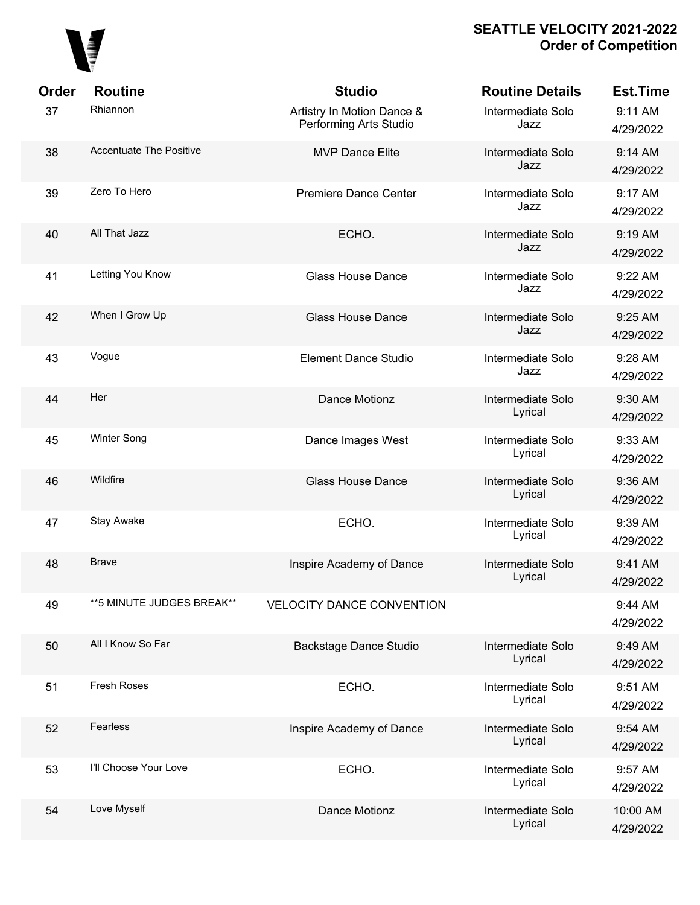

| Order | <b>Routine</b>                 | <b>Studio</b>                                        | <b>Routine Details</b>       | <b>Est.Time</b>       |
|-------|--------------------------------|------------------------------------------------------|------------------------------|-----------------------|
| 37    | Rhiannon                       | Artistry In Motion Dance &<br>Performing Arts Studio | Intermediate Solo<br>Jazz    | 9:11 AM<br>4/29/2022  |
| 38    | <b>Accentuate The Positive</b> | <b>MVP Dance Elite</b>                               | Intermediate Solo<br>Jazz    | 9:14 AM<br>4/29/2022  |
| 39    | Zero To Hero                   | <b>Premiere Dance Center</b>                         | Intermediate Solo<br>Jazz    | 9:17 AM<br>4/29/2022  |
| 40    | All That Jazz                  | ECHO.                                                | Intermediate Solo<br>Jazz    | 9:19 AM<br>4/29/2022  |
| 41    | Letting You Know               | <b>Glass House Dance</b>                             | Intermediate Solo<br>Jazz    | 9:22 AM<br>4/29/2022  |
| 42    | When I Grow Up                 | <b>Glass House Dance</b>                             | Intermediate Solo<br>Jazz    | 9:25 AM<br>4/29/2022  |
| 43    | Vogue                          | <b>Element Dance Studio</b>                          | Intermediate Solo<br>Jazz    | 9:28 AM<br>4/29/2022  |
| 44    | Her                            | Dance Motionz                                        | Intermediate Solo<br>Lyrical | 9:30 AM<br>4/29/2022  |
| 45    | Winter Song                    | Dance Images West                                    | Intermediate Solo<br>Lyrical | 9:33 AM<br>4/29/2022  |
| 46    | Wildfire                       | <b>Glass House Dance</b>                             | Intermediate Solo<br>Lyrical | 9:36 AM<br>4/29/2022  |
| 47    | Stay Awake                     | ECHO.                                                | Intermediate Solo<br>Lyrical | 9:39 AM<br>4/29/2022  |
| 48    | <b>Brave</b>                   | Inspire Academy of Dance                             | Intermediate Solo<br>Lyrical | 9:41 AM<br>4/29/2022  |
| 49    | ** 5 MINUTE JUDGES BREAK**     | <b>VELOCITY DANCE CONVENTION</b>                     |                              | 9:44 AM<br>4/29/2022  |
| 50    | All I Know So Far              | <b>Backstage Dance Studio</b>                        | Intermediate Solo<br>Lyrical | 9:49 AM<br>4/29/2022  |
| 51    | Fresh Roses                    | ECHO.                                                | Intermediate Solo<br>Lyrical | 9:51 AM<br>4/29/2022  |
| 52    | Fearless                       | Inspire Academy of Dance                             | Intermediate Solo<br>Lyrical | 9:54 AM<br>4/29/2022  |
| 53    | I'll Choose Your Love          | ECHO.                                                | Intermediate Solo<br>Lyrical | 9:57 AM<br>4/29/2022  |
| 54    | Love Myself                    | Dance Motionz                                        | Intermediate Solo<br>Lyrical | 10:00 AM<br>4/29/2022 |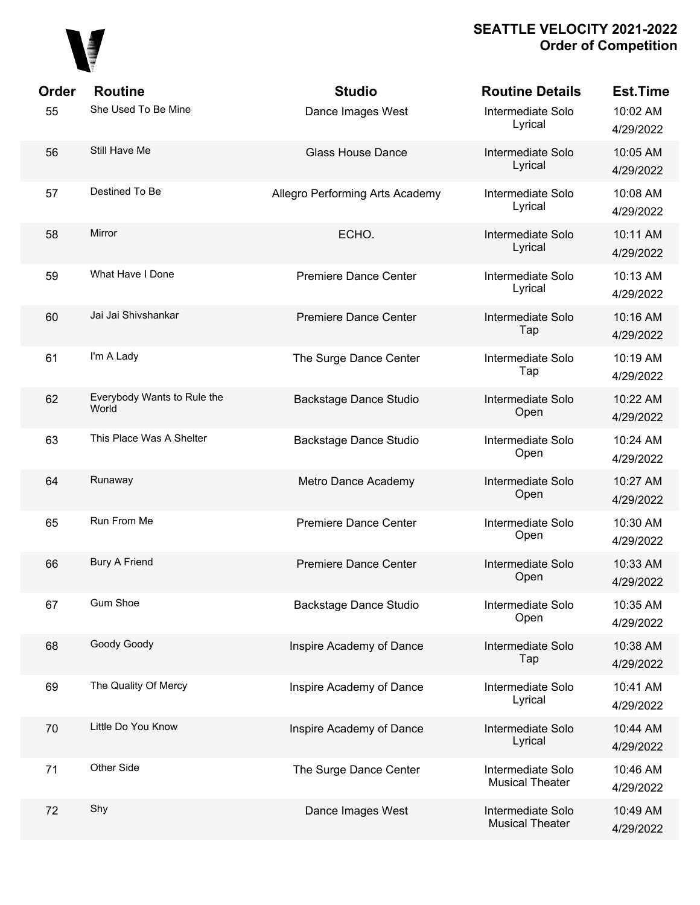

| Order | <b>Routine</b>                       | <b>Studio</b>                   | <b>Routine Details</b>                      | <b>Est.Time</b>       |
|-------|--------------------------------------|---------------------------------|---------------------------------------------|-----------------------|
| 55    | She Used To Be Mine                  | Dance Images West               | Intermediate Solo<br>Lyrical                | 10:02 AM<br>4/29/2022 |
| 56    | Still Have Me                        | <b>Glass House Dance</b>        | Intermediate Solo<br>Lyrical                | 10:05 AM<br>4/29/2022 |
| 57    | Destined To Be                       | Allegro Performing Arts Academy | Intermediate Solo<br>Lyrical                | 10:08 AM<br>4/29/2022 |
| 58    | Mirror                               | ECHO.                           | Intermediate Solo<br>Lyrical                | 10:11 AM<br>4/29/2022 |
| 59    | What Have I Done                     | <b>Premiere Dance Center</b>    | Intermediate Solo<br>Lyrical                | 10:13 AM<br>4/29/2022 |
| 60    | Jai Jai Shivshankar                  | <b>Premiere Dance Center</b>    | Intermediate Solo<br>Tap                    | 10:16 AM<br>4/29/2022 |
| 61    | I'm A Lady                           | The Surge Dance Center          | Intermediate Solo<br>Tap                    | 10:19 AM<br>4/29/2022 |
| 62    | Everybody Wants to Rule the<br>World | Backstage Dance Studio          | Intermediate Solo<br>Open                   | 10:22 AM<br>4/29/2022 |
| 63    | This Place Was A Shelter             | <b>Backstage Dance Studio</b>   | Intermediate Solo<br>Open                   | 10:24 AM<br>4/29/2022 |
| 64    | Runaway                              | Metro Dance Academy             | Intermediate Solo<br>Open                   | 10:27 AM<br>4/29/2022 |
| 65    | Run From Me                          | Premiere Dance Center           | Intermediate Solo<br>Open                   | 10:30 AM<br>4/29/2022 |
| 66    | Bury A Friend                        | <b>Premiere Dance Center</b>    | Intermediate Solo<br>Open                   | 10:33 AM<br>4/29/2022 |
| 67    | <b>Gum Shoe</b>                      | <b>Backstage Dance Studio</b>   | Intermediate Solo<br>Open                   | 10:35 AM<br>4/29/2022 |
| 68    | Goody Goody                          | Inspire Academy of Dance        | Intermediate Solo<br>Tap                    | 10:38 AM<br>4/29/2022 |
| 69    | The Quality Of Mercy                 | Inspire Academy of Dance        | Intermediate Solo<br>Lyrical                | 10:41 AM<br>4/29/2022 |
| 70    | Little Do You Know                   | Inspire Academy of Dance        | Intermediate Solo<br>Lyrical                | 10:44 AM<br>4/29/2022 |
| 71    | Other Side                           | The Surge Dance Center          | Intermediate Solo<br><b>Musical Theater</b> | 10:46 AM<br>4/29/2022 |
| 72    | Shy                                  | Dance Images West               | Intermediate Solo<br><b>Musical Theater</b> | 10:49 AM<br>4/29/2022 |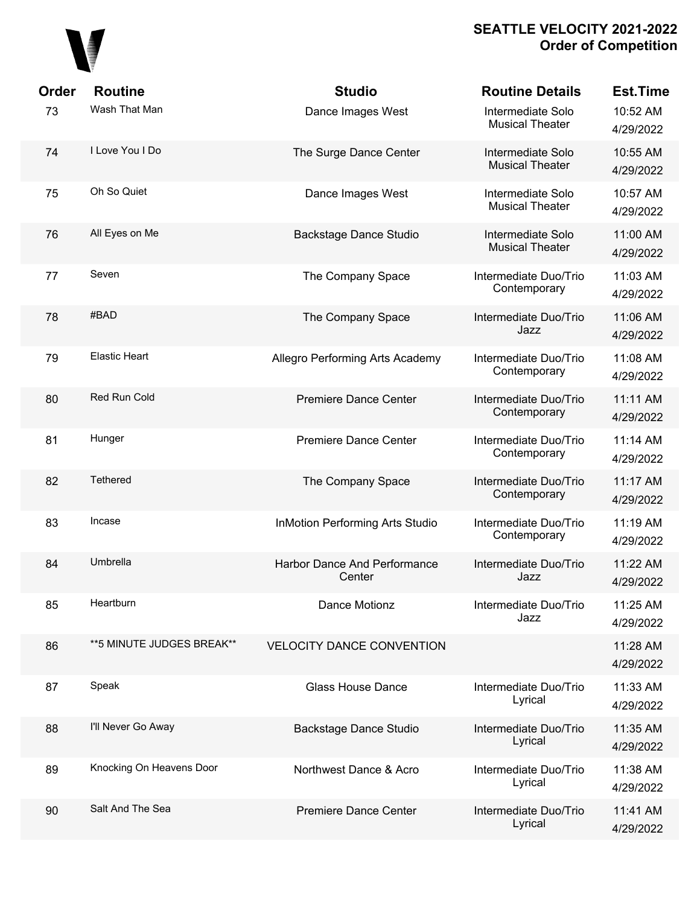

| Order | <b>Routine</b>            | <b>Studio</b>                          | <b>Routine Details</b>                      | <b>Est.Time</b>       |
|-------|---------------------------|----------------------------------------|---------------------------------------------|-----------------------|
| 73    | Wash That Man             | Dance Images West                      | Intermediate Solo<br><b>Musical Theater</b> | 10:52 AM<br>4/29/2022 |
| 74    | I Love You I Do           | The Surge Dance Center                 | Intermediate Solo<br><b>Musical Theater</b> | 10:55 AM<br>4/29/2022 |
| 75    | Oh So Quiet               | Dance Images West                      | Intermediate Solo<br><b>Musical Theater</b> | 10:57 AM<br>4/29/2022 |
| 76    | All Eyes on Me            | Backstage Dance Studio                 | Intermediate Solo<br><b>Musical Theater</b> | 11:00 AM<br>4/29/2022 |
| 77    | Seven                     | The Company Space                      | Intermediate Duo/Trio<br>Contemporary       | 11:03 AM<br>4/29/2022 |
| 78    | #BAD                      | The Company Space                      | Intermediate Duo/Trio<br>Jazz               | 11:06 AM<br>4/29/2022 |
| 79    | <b>Elastic Heart</b>      | Allegro Performing Arts Academy        | Intermediate Duo/Trio<br>Contemporary       | 11:08 AM<br>4/29/2022 |
| 80    | Red Run Cold              | <b>Premiere Dance Center</b>           | Intermediate Duo/Trio<br>Contemporary       | 11:11 AM<br>4/29/2022 |
| 81    | Hunger                    | <b>Premiere Dance Center</b>           | Intermediate Duo/Trio<br>Contemporary       | 11:14 AM<br>4/29/2022 |
| 82    | Tethered                  | The Company Space                      | Intermediate Duo/Trio<br>Contemporary       | 11:17 AM<br>4/29/2022 |
| 83    | Incase                    | <b>InMotion Performing Arts Studio</b> | Intermediate Duo/Trio<br>Contemporary       | 11:19 AM<br>4/29/2022 |
| 84    | Umbrella                  | Harbor Dance And Performance<br>Center | Intermediate Duo/Trio<br>Jazz               | 11:22 AM<br>4/29/2022 |
| 85    | Heartburn                 | Dance Motionz                          | Intermediate Duo/Trio<br>Jazz               | 11:25 AM<br>4/29/2022 |
| 86    | **5 MINUTE JUDGES BREAK** | <b>VELOCITY DANCE CONVENTION</b>       |                                             | 11:28 AM<br>4/29/2022 |
| 87    | Speak                     | <b>Glass House Dance</b>               | Intermediate Duo/Trio<br>Lyrical            | 11:33 AM<br>4/29/2022 |
| 88    | I'll Never Go Away        | Backstage Dance Studio                 | Intermediate Duo/Trio<br>Lyrical            | 11:35 AM<br>4/29/2022 |
| 89    | Knocking On Heavens Door  | Northwest Dance & Acro                 | Intermediate Duo/Trio<br>Lyrical            | 11:38 AM<br>4/29/2022 |
| 90    | Salt And The Sea          | Premiere Dance Center                  | Intermediate Duo/Trio<br>Lyrical            | 11:41 AM<br>4/29/2022 |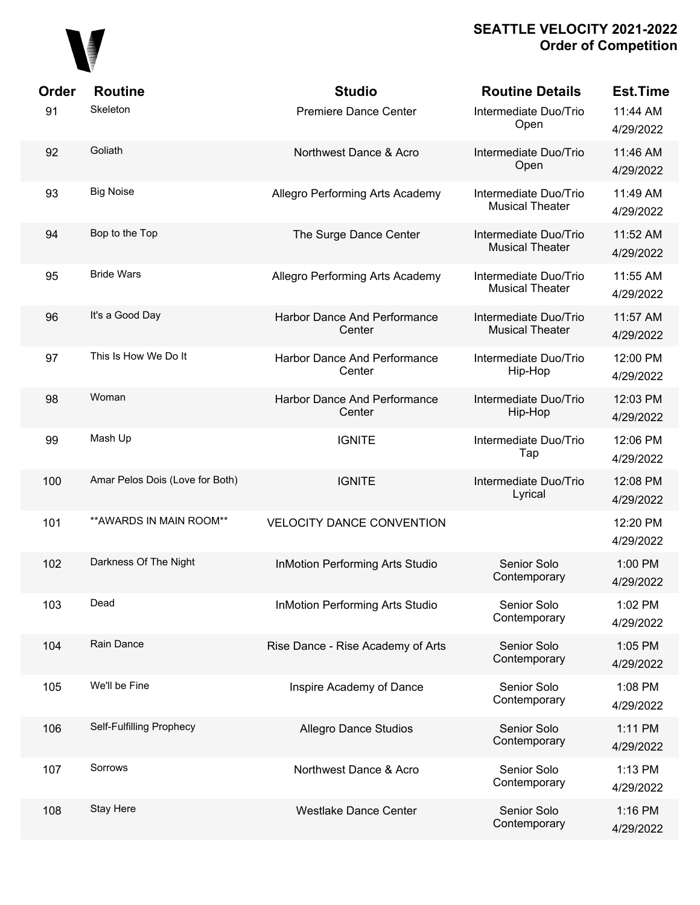

| Order | <b>Routine</b>                  | <b>Studio</b>                          | <b>Routine Details</b>                          | <b>Est.Time</b>       |
|-------|---------------------------------|----------------------------------------|-------------------------------------------------|-----------------------|
| 91    | Skeleton                        | <b>Premiere Dance Center</b>           | Intermediate Duo/Trio<br>Open                   | 11:44 AM<br>4/29/2022 |
| 92    | Goliath                         | Northwest Dance & Acro                 | Intermediate Duo/Trio<br>Open                   | 11:46 AM<br>4/29/2022 |
| 93    | <b>Big Noise</b>                | Allegro Performing Arts Academy        | Intermediate Duo/Trio<br><b>Musical Theater</b> | 11:49 AM<br>4/29/2022 |
| 94    | Bop to the Top                  | The Surge Dance Center                 | Intermediate Duo/Trio<br><b>Musical Theater</b> | 11:52 AM<br>4/29/2022 |
| 95    | <b>Bride Wars</b>               | Allegro Performing Arts Academy        | Intermediate Duo/Trio<br><b>Musical Theater</b> | 11:55 AM<br>4/29/2022 |
| 96    | It's a Good Day                 | Harbor Dance And Performance<br>Center | Intermediate Duo/Trio<br><b>Musical Theater</b> | 11:57 AM<br>4/29/2022 |
| 97    | This Is How We Do It            | Harbor Dance And Performance<br>Center | Intermediate Duo/Trio<br>Hip-Hop                | 12:00 PM<br>4/29/2022 |
| 98    | Woman                           | Harbor Dance And Performance<br>Center | Intermediate Duo/Trio<br>Hip-Hop                | 12:03 PM<br>4/29/2022 |
| 99    | Mash Up                         | <b>IGNITE</b>                          | Intermediate Duo/Trio<br>Tap                    | 12:06 PM<br>4/29/2022 |
| 100   | Amar Pelos Dois (Love for Both) | <b>IGNITE</b>                          | Intermediate Duo/Trio<br>Lyrical                | 12:08 PM<br>4/29/2022 |
| 101   | ** AWARDS IN MAIN ROOM**        | <b>VELOCITY DANCE CONVENTION</b>       |                                                 | 12:20 PM<br>4/29/2022 |
| 102   | Darkness Of The Night           | <b>InMotion Performing Arts Studio</b> | Senior Solo<br>Contemporary                     | 1:00 PM<br>4/29/2022  |
| 103   | Dead                            | <b>InMotion Performing Arts Studio</b> | Senior Solo<br>Contemporary                     | 1:02 PM<br>4/29/2022  |
| 104   | Rain Dance                      | Rise Dance - Rise Academy of Arts      | Senior Solo<br>Contemporary                     | 1:05 PM<br>4/29/2022  |
| 105   | We'll be Fine                   | Inspire Academy of Dance               | Senior Solo<br>Contemporary                     | 1:08 PM<br>4/29/2022  |
| 106   | Self-Fulfilling Prophecy        | <b>Allegro Dance Studios</b>           | Senior Solo<br>Contemporary                     | 1:11 PM<br>4/29/2022  |
| 107   | Sorrows                         | Northwest Dance & Acro                 | Senior Solo<br>Contemporary                     | 1:13 PM<br>4/29/2022  |
| 108   | Stay Here                       | <b>Westlake Dance Center</b>           | Senior Solo<br>Contemporary                     | 1:16 PM<br>4/29/2022  |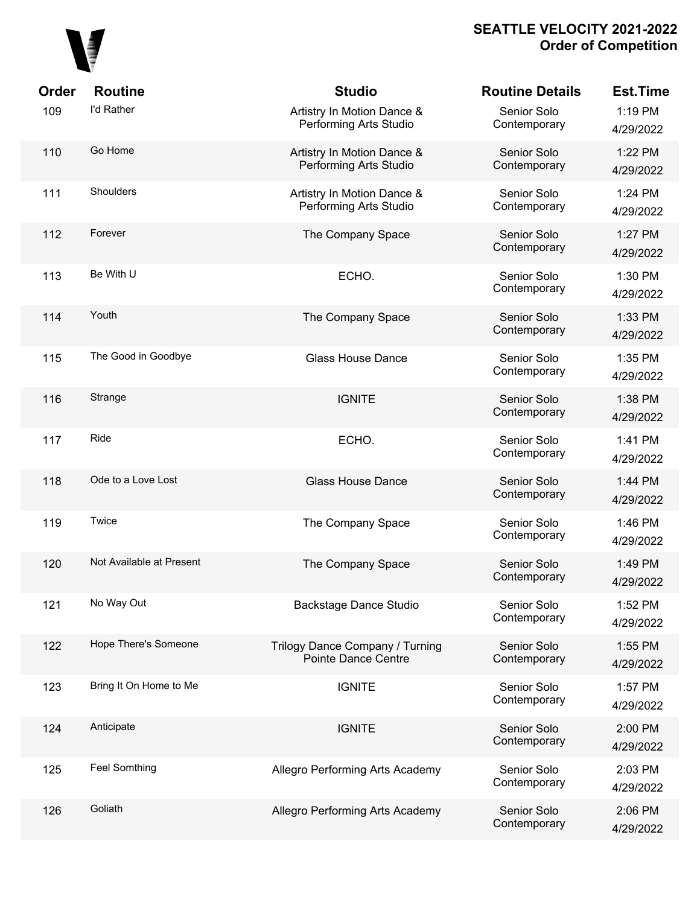

| Order | <b>Routine</b>           | <b>Studio</b>                                                 | <b>Routine Details</b>      | <b>Est.Time</b>      |
|-------|--------------------------|---------------------------------------------------------------|-----------------------------|----------------------|
| 109   | I'd Rather               | Artistry In Motion Dance &<br>Performing Arts Studio          | Senior Solo<br>Contemporary | 1:19 PM<br>4/29/2022 |
| 110   | Go Home                  | Artistry In Motion Dance &<br>Performing Arts Studio          | Senior Solo<br>Contemporary | 1:22 PM<br>4/29/2022 |
| 111   | Shoulders                | Artistry In Motion Dance &<br>Performing Arts Studio          | Senior Solo<br>Contemporary | 1:24 PM<br>4/29/2022 |
| 112   | Forever                  | The Company Space                                             | Senior Solo<br>Contemporary | 1:27 PM<br>4/29/2022 |
| 113   | Be With U                | ECHO.                                                         | Senior Solo<br>Contemporary | 1:30 PM<br>4/29/2022 |
| 114   | Youth                    | The Company Space                                             | Senior Solo<br>Contemporary | 1:33 PM<br>4/29/2022 |
| 115   | The Good in Goodbye      | <b>Glass House Dance</b>                                      | Senior Solo<br>Contemporary | 1:35 PM<br>4/29/2022 |
| 116   | Strange                  | <b>IGNITE</b>                                                 | Senior Solo<br>Contemporary | 1:38 PM<br>4/29/2022 |
| 117   | Ride                     | ECHO.                                                         | Senior Solo<br>Contemporary | 1:41 PM<br>4/29/2022 |
| 118   | Ode to a Love Lost       | <b>Glass House Dance</b>                                      | Senior Solo<br>Contemporary | 1:44 PM<br>4/29/2022 |
| 119   | Twice                    | The Company Space                                             | Senior Solo<br>Contemporary | 1:46 PM<br>4/29/2022 |
| 120   | Not Available at Present | The Company Space                                             | Senior Solo<br>Contemporary | 1:49 PM<br>4/29/2022 |
| 121   | No Way Out               | <b>Backstage Dance Studio</b>                                 | Senior Solo<br>Contemporary | 1:52 PM<br>4/29/2022 |
| 122   | Hope There's Someone     | Trilogy Dance Company / Turning<br><b>Pointe Dance Centre</b> | Senior Solo<br>Contemporary | 1:55 PM<br>4/29/2022 |
| 123   | Bring It On Home to Me   | <b>IGNITE</b>                                                 | Senior Solo<br>Contemporary | 1:57 PM<br>4/29/2022 |
| 124   | Anticipate               | <b>IGNITE</b>                                                 | Senior Solo<br>Contemporary | 2:00 PM<br>4/29/2022 |
| 125   | Feel Somthing            | Allegro Performing Arts Academy                               | Senior Solo<br>Contemporary | 2:03 PM<br>4/29/2022 |
| 126   | Goliath                  | Allegro Performing Arts Academy                               | Senior Solo<br>Contemporary | 2:06 PM<br>4/29/2022 |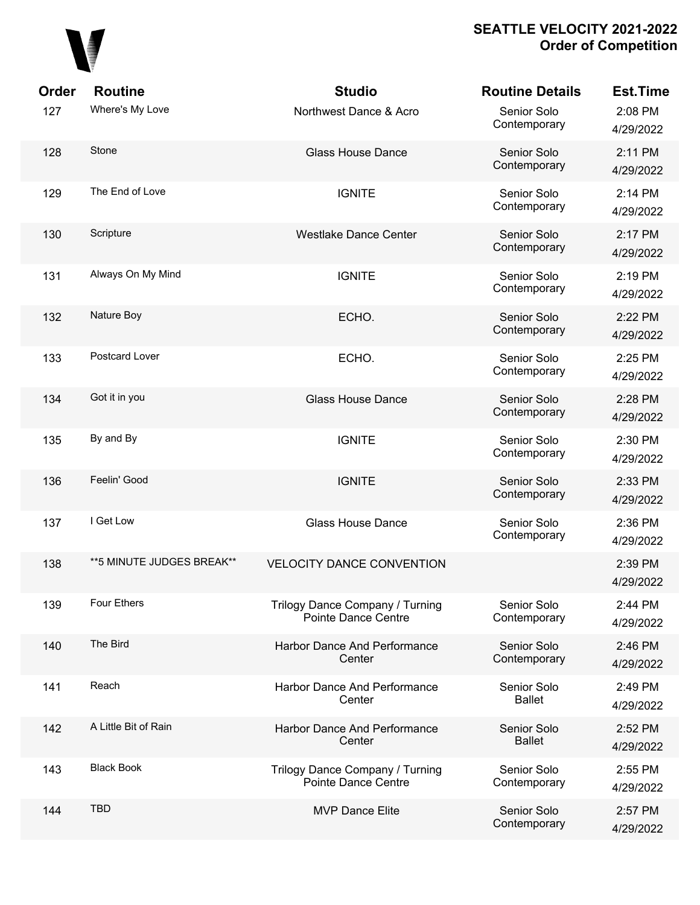

| Order | <b>Routine</b>             | <b>Studio</b>                                                 | <b>Routine Details</b>       | <b>Est.Time</b>      |
|-------|----------------------------|---------------------------------------------------------------|------------------------------|----------------------|
| 127   | Where's My Love            | Northwest Dance & Acro                                        | Senior Solo<br>Contemporary  | 2:08 PM<br>4/29/2022 |
| 128   | Stone                      | <b>Glass House Dance</b>                                      | Senior Solo<br>Contemporary  | 2:11 PM<br>4/29/2022 |
| 129   | The End of Love            | <b>IGNITE</b>                                                 | Senior Solo<br>Contemporary  | 2:14 PM<br>4/29/2022 |
| 130   | Scripture                  | <b>Westlake Dance Center</b>                                  | Senior Solo<br>Contemporary  | 2:17 PM<br>4/29/2022 |
| 131   | Always On My Mind          | <b>IGNITE</b>                                                 | Senior Solo<br>Contemporary  | 2:19 PM<br>4/29/2022 |
| 132   | Nature Boy                 | ECHO.                                                         | Senior Solo<br>Contemporary  | 2:22 PM<br>4/29/2022 |
| 133   | Postcard Lover             | ECHO.                                                         | Senior Solo<br>Contemporary  | 2:25 PM<br>4/29/2022 |
| 134   | Got it in you              | <b>Glass House Dance</b>                                      | Senior Solo<br>Contemporary  | 2:28 PM<br>4/29/2022 |
| 135   | By and By                  | <b>IGNITE</b>                                                 | Senior Solo<br>Contemporary  | 2:30 PM<br>4/29/2022 |
| 136   | Feelin' Good               | <b>IGNITE</b>                                                 | Senior Solo<br>Contemporary  | 2:33 PM<br>4/29/2022 |
| 137   | I Get Low                  | <b>Glass House Dance</b>                                      | Senior Solo<br>Contemporary  | 2:36 PM<br>4/29/2022 |
| 138   | ** 5 MINUTE JUDGES BREAK** | <b>VELOCITY DANCE CONVENTION</b>                              |                              | 2:39 PM<br>4/29/2022 |
| 139   | Four Ethers                | Trilogy Dance Company / Turning<br>Pointe Dance Centre        | Senior Solo<br>Contemporary  | 2:44 PM<br>4/29/2022 |
| 140   | The Bird                   | Harbor Dance And Performance<br>Center                        | Senior Solo<br>Contemporary  | 2:46 PM<br>4/29/2022 |
| 141   | Reach                      | Harbor Dance And Performance<br>Center                        | Senior Solo<br><b>Ballet</b> | 2:49 PM<br>4/29/2022 |
| 142   | A Little Bit of Rain       | Harbor Dance And Performance<br>Center                        | Senior Solo<br><b>Ballet</b> | 2:52 PM<br>4/29/2022 |
| 143   | <b>Black Book</b>          | Trilogy Dance Company / Turning<br><b>Pointe Dance Centre</b> | Senior Solo<br>Contemporary  | 2:55 PM<br>4/29/2022 |
| 144   | <b>TBD</b>                 | <b>MVP Dance Elite</b>                                        | Senior Solo<br>Contemporary  | 2:57 PM<br>4/29/2022 |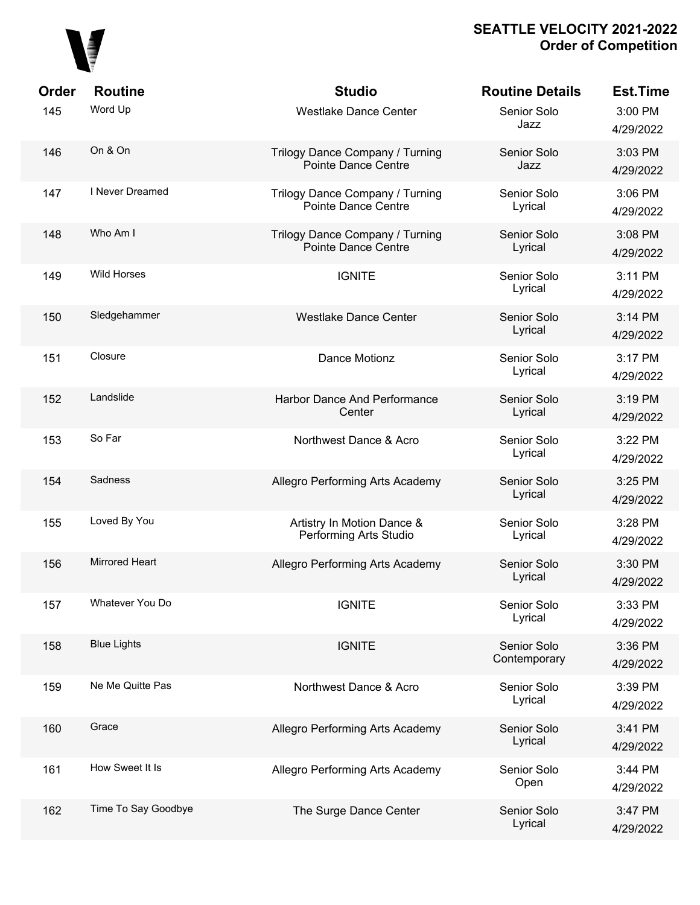

| Order | <b>Routine</b>      | <b>Studio</b>                                                 | <b>Routine Details</b>      | <b>Est.Time</b>      |
|-------|---------------------|---------------------------------------------------------------|-----------------------------|----------------------|
| 145   | Word Up             | <b>Westlake Dance Center</b>                                  | Senior Solo<br>Jazz         | 3:00 PM<br>4/29/2022 |
| 146   | On & On             | Trilogy Dance Company / Turning<br><b>Pointe Dance Centre</b> | Senior Solo<br>Jazz         | 3:03 PM<br>4/29/2022 |
| 147   | I Never Dreamed     | Trilogy Dance Company / Turning<br><b>Pointe Dance Centre</b> | Senior Solo<br>Lyrical      | 3:06 PM<br>4/29/2022 |
| 148   | Who Am I            | Trilogy Dance Company / Turning<br><b>Pointe Dance Centre</b> | Senior Solo<br>Lyrical      | 3:08 PM<br>4/29/2022 |
| 149   | <b>Wild Horses</b>  | <b>IGNITE</b>                                                 | Senior Solo<br>Lyrical      | 3:11 PM<br>4/29/2022 |
| 150   | Sledgehammer        | <b>Westlake Dance Center</b>                                  | Senior Solo<br>Lyrical      | 3:14 PM<br>4/29/2022 |
| 151   | Closure             | <b>Dance Motionz</b>                                          | Senior Solo<br>Lyrical      | 3:17 PM<br>4/29/2022 |
| 152   | Landslide           | Harbor Dance And Performance<br>Center                        | Senior Solo<br>Lyrical      | 3:19 PM<br>4/29/2022 |
| 153   | So Far              | Northwest Dance & Acro                                        | Senior Solo<br>Lyrical      | 3:22 PM<br>4/29/2022 |
| 154   | Sadness             | Allegro Performing Arts Academy                               | Senior Solo<br>Lyrical      | 3:25 PM<br>4/29/2022 |
| 155   | Loved By You        | Artistry In Motion Dance &<br>Performing Arts Studio          | Senior Solo<br>Lyrical      | 3:28 PM<br>4/29/2022 |
| 156   | Mirrored Heart      | Allegro Performing Arts Academy                               | Senior Solo<br>Lyrical      | 3:30 PM<br>4/29/2022 |
| 157   | Whatever You Do     | <b>IGNITE</b>                                                 | Senior Solo<br>Lyrical      | 3:33 PM<br>4/29/2022 |
| 158   | <b>Blue Lights</b>  | <b>IGNITE</b>                                                 | Senior Solo<br>Contemporary | 3:36 PM<br>4/29/2022 |
| 159   | Ne Me Quitte Pas    | Northwest Dance & Acro                                        | Senior Solo<br>Lyrical      | 3:39 PM<br>4/29/2022 |
| 160   | Grace               | Allegro Performing Arts Academy                               | Senior Solo<br>Lyrical      | 3:41 PM<br>4/29/2022 |
| 161   | How Sweet It Is     | Allegro Performing Arts Academy                               | Senior Solo<br>Open         | 3:44 PM<br>4/29/2022 |
| 162   | Time To Say Goodbye | The Surge Dance Center                                        | Senior Solo<br>Lyrical      | 3:47 PM<br>4/29/2022 |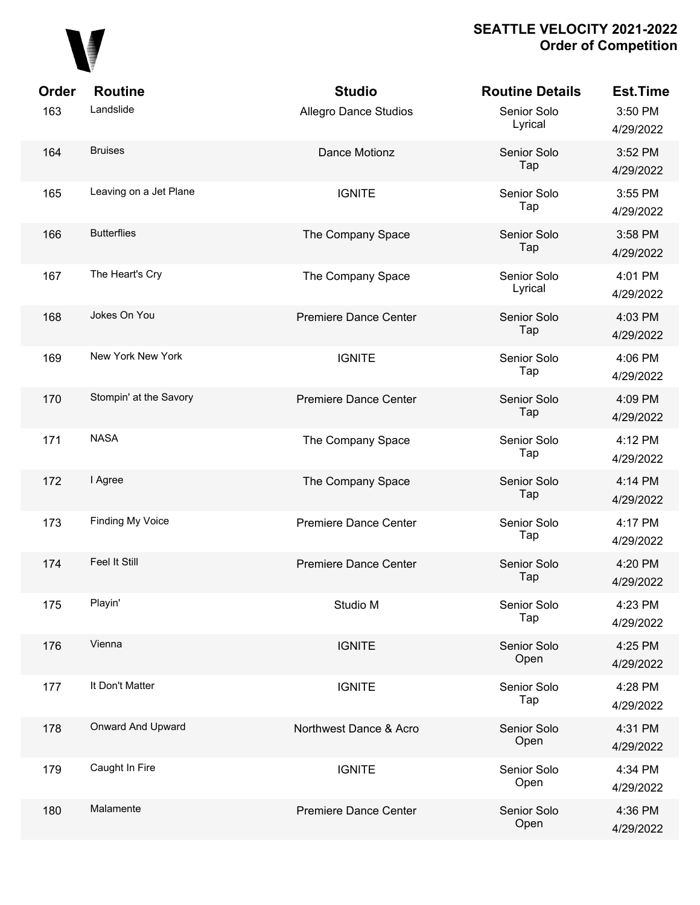

| Order | <b>Routine</b>          | <b>Studio</b>                | <b>Routine Details</b> | <b>Est.Time</b>      |
|-------|-------------------------|------------------------------|------------------------|----------------------|
| 163   | Landslide               | <b>Allegro Dance Studios</b> | Senior Solo<br>Lyrical | 3:50 PM<br>4/29/2022 |
| 164   | <b>Bruises</b>          | Dance Motionz                | Senior Solo<br>Tap     | 3:52 PM<br>4/29/2022 |
| 165   | Leaving on a Jet Plane  | <b>IGNITE</b>                | Senior Solo<br>Tap     | 3:55 PM<br>4/29/2022 |
| 166   | <b>Butterflies</b>      | The Company Space            | Senior Solo<br>Tap     | 3:58 PM<br>4/29/2022 |
| 167   | The Heart's Cry         | The Company Space            | Senior Solo<br>Lyrical | 4:01 PM<br>4/29/2022 |
| 168   | Jokes On You            | <b>Premiere Dance Center</b> | Senior Solo<br>Tap     | 4:03 PM<br>4/29/2022 |
| 169   | New York New York       | <b>IGNITE</b>                | Senior Solo<br>Tap     | 4:06 PM<br>4/29/2022 |
| 170   | Stompin' at the Savory  | <b>Premiere Dance Center</b> | Senior Solo<br>Tap     | 4:09 PM<br>4/29/2022 |
| 171   | <b>NASA</b>             | The Company Space            | Senior Solo<br>Tap     | 4:12 PM<br>4/29/2022 |
| 172   | I Agree                 | The Company Space            | Senior Solo<br>Tap     | 4:14 PM<br>4/29/2022 |
| 173   | <b>Finding My Voice</b> | <b>Premiere Dance Center</b> | Senior Solo<br>Tap     | 4:17 PM<br>4/29/2022 |
| 174   | Feel It Still           | <b>Premiere Dance Center</b> | Senior Solo<br>Tap     | 4:20 PM<br>4/29/2022 |
| 175   | Playin'                 | Studio M                     | Senior Solo<br>Tap     | 4:23 PM<br>4/29/2022 |
| 176   | Vienna                  | <b>IGNITE</b>                | Senior Solo<br>Open    | 4:25 PM<br>4/29/2022 |
| 177   | It Don't Matter         | <b>IGNITE</b>                | Senior Solo<br>Tap     | 4:28 PM<br>4/29/2022 |
| 178   | Onward And Upward       | Northwest Dance & Acro       | Senior Solo<br>Open    | 4:31 PM<br>4/29/2022 |
| 179   | Caught In Fire          | <b>IGNITE</b>                | Senior Solo<br>Open    | 4:34 PM<br>4/29/2022 |
| 180   | Malamente               | <b>Premiere Dance Center</b> | Senior Solo<br>Open    | 4:36 PM<br>4/29/2022 |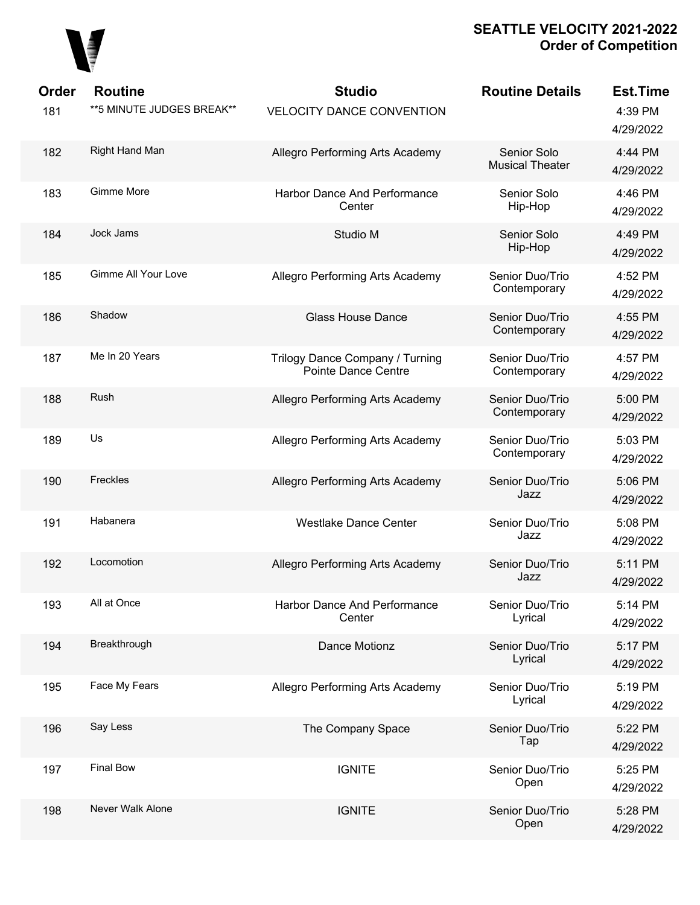

| Order<br>181 | <b>Routine</b><br>** 5 MINUTE JUDGES BREAK** | <b>Studio</b><br><b>VELOCITY DANCE CONVENTION</b>             | <b>Routine Details</b>                | <b>Est.Time</b><br>4:39 PM<br>4/29/2022 |
|--------------|----------------------------------------------|---------------------------------------------------------------|---------------------------------------|-----------------------------------------|
| 182          | Right Hand Man                               | Allegro Performing Arts Academy                               | Senior Solo<br><b>Musical Theater</b> | 4:44 PM<br>4/29/2022                    |
| 183          | Gimme More                                   | Harbor Dance And Performance<br>Center                        | Senior Solo<br>Hip-Hop                | 4:46 PM<br>4/29/2022                    |
| 184          | Jock Jams                                    | Studio M                                                      | Senior Solo<br>Hip-Hop                | 4:49 PM<br>4/29/2022                    |
| 185          | Gimme All Your Love                          | Allegro Performing Arts Academy                               | Senior Duo/Trio<br>Contemporary       | 4:52 PM<br>4/29/2022                    |
| 186          | Shadow                                       | <b>Glass House Dance</b>                                      | Senior Duo/Trio<br>Contemporary       | 4:55 PM<br>4/29/2022                    |
| 187          | Me In 20 Years                               | Trilogy Dance Company / Turning<br><b>Pointe Dance Centre</b> | Senior Duo/Trio<br>Contemporary       | 4:57 PM<br>4/29/2022                    |
| 188          | Rush                                         | Allegro Performing Arts Academy                               | Senior Duo/Trio<br>Contemporary       | 5:00 PM<br>4/29/2022                    |
| 189          | Us                                           | Allegro Performing Arts Academy                               | Senior Duo/Trio<br>Contemporary       | 5:03 PM<br>4/29/2022                    |
| 190          | Freckles                                     | Allegro Performing Arts Academy                               | Senior Duo/Trio<br>Jazz               | 5:06 PM<br>4/29/2022                    |
| 191          | Habanera                                     | <b>Westlake Dance Center</b>                                  | Senior Duo/Trio<br>Jazz               | 5:08 PM<br>4/29/2022                    |
| 192          | Locomotion                                   | Allegro Performing Arts Academy                               | Senior Duo/Trio<br>Jazz               | 5:11 PM<br>4/29/2022                    |
| 193          | All at Once                                  | Harbor Dance And Performance<br>Center                        | Senior Duo/Trio<br>Lyrical            | 5:14 PM<br>4/29/2022                    |
| 194          | Breakthrough                                 | Dance Motionz                                                 | Senior Duo/Trio<br>Lyrical            | 5:17 PM<br>4/29/2022                    |
| 195          | Face My Fears                                | Allegro Performing Arts Academy                               | Senior Duo/Trio<br>Lyrical            | 5:19 PM<br>4/29/2022                    |
| 196          | Say Less                                     | The Company Space                                             | Senior Duo/Trio<br>Tap                | 5:22 PM<br>4/29/2022                    |
| 197          | <b>Final Bow</b>                             | <b>IGNITE</b>                                                 | Senior Duo/Trio<br>Open               | 5:25 PM<br>4/29/2022                    |
| 198          | Never Walk Alone                             | <b>IGNITE</b>                                                 | Senior Duo/Trio<br>Open               | 5:28 PM<br>4/29/2022                    |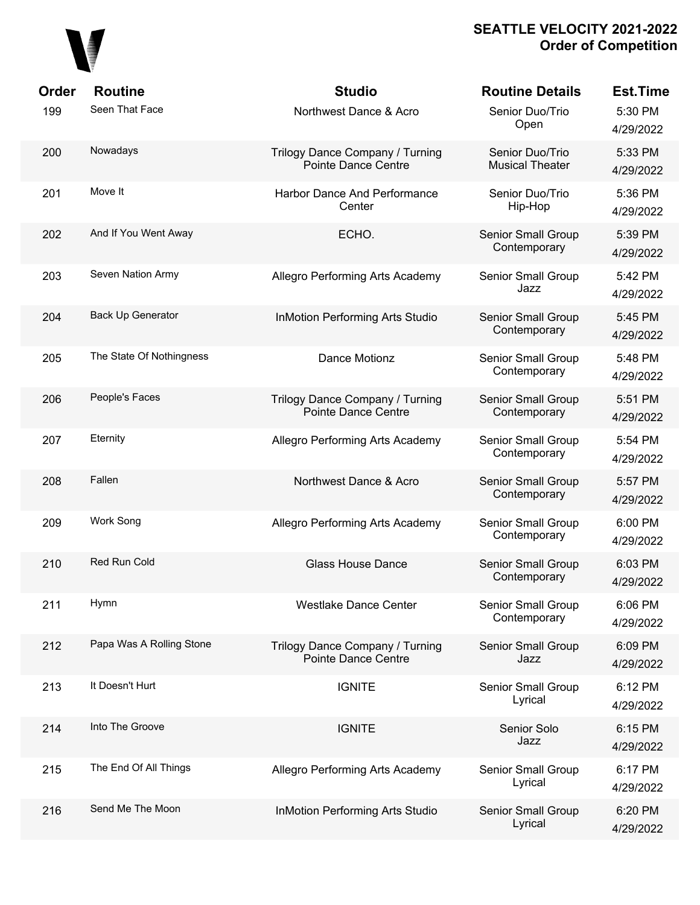

| Order | <b>Routine</b>           | <b>Studio</b>                                                 | <b>Routine Details</b>                    | <b>Est.Time</b>      |
|-------|--------------------------|---------------------------------------------------------------|-------------------------------------------|----------------------|
| 199   | Seen That Face           | Northwest Dance & Acro                                        | Senior Duo/Trio<br>Open                   | 5:30 PM<br>4/29/2022 |
| 200   | Nowadays                 | Trilogy Dance Company / Turning<br><b>Pointe Dance Centre</b> | Senior Duo/Trio<br><b>Musical Theater</b> | 5:33 PM<br>4/29/2022 |
| 201   | Move It                  | Harbor Dance And Performance<br>Center                        | Senior Duo/Trio<br>Hip-Hop                | 5:36 PM<br>4/29/2022 |
| 202   | And If You Went Away     | ECHO.                                                         | <b>Senior Small Group</b><br>Contemporary | 5:39 PM<br>4/29/2022 |
| 203   | Seven Nation Army        | Allegro Performing Arts Academy                               | Senior Small Group<br>Jazz                | 5:42 PM<br>4/29/2022 |
| 204   | <b>Back Up Generator</b> | <b>InMotion Performing Arts Studio</b>                        | Senior Small Group<br>Contemporary        | 5:45 PM<br>4/29/2022 |
| 205   | The State Of Nothingness | Dance Motionz                                                 | Senior Small Group<br>Contemporary        | 5:48 PM<br>4/29/2022 |
| 206   | People's Faces           | Trilogy Dance Company / Turning<br><b>Pointe Dance Centre</b> | Senior Small Group<br>Contemporary        | 5:51 PM<br>4/29/2022 |
| 207   | Eternity                 | Allegro Performing Arts Academy                               | Senior Small Group<br>Contemporary        | 5:54 PM<br>4/29/2022 |
| 208   | Fallen                   | Northwest Dance & Acro                                        | Senior Small Group<br>Contemporary        | 5:57 PM<br>4/29/2022 |
| 209   | Work Song                | Allegro Performing Arts Academy                               | Senior Small Group<br>Contemporary        | 6:00 PM<br>4/29/2022 |
| 210   | Red Run Cold             | <b>Glass House Dance</b>                                      | Senior Small Group<br>Contemporary        | 6:03 PM<br>4/29/2022 |
| 211   | Hymn                     | <b>Westlake Dance Center</b>                                  | Senior Small Group<br>Contemporary        | 6:06 PM<br>4/29/2022 |
| 212   | Papa Was A Rolling Stone | Trilogy Dance Company / Turning<br><b>Pointe Dance Centre</b> | Senior Small Group<br>Jazz                | 6:09 PM<br>4/29/2022 |
| 213   | It Doesn't Hurt          | <b>IGNITE</b>                                                 | Senior Small Group<br>Lyrical             | 6:12 PM<br>4/29/2022 |
| 214   | Into The Groove          | <b>IGNITE</b>                                                 | Senior Solo<br>Jazz                       | 6:15 PM<br>4/29/2022 |
| 215   | The End Of All Things    | Allegro Performing Arts Academy                               | Senior Small Group<br>Lyrical             | 6:17 PM<br>4/29/2022 |
| 216   | Send Me The Moon         | <b>InMotion Performing Arts Studio</b>                        | Senior Small Group<br>Lyrical             | 6:20 PM<br>4/29/2022 |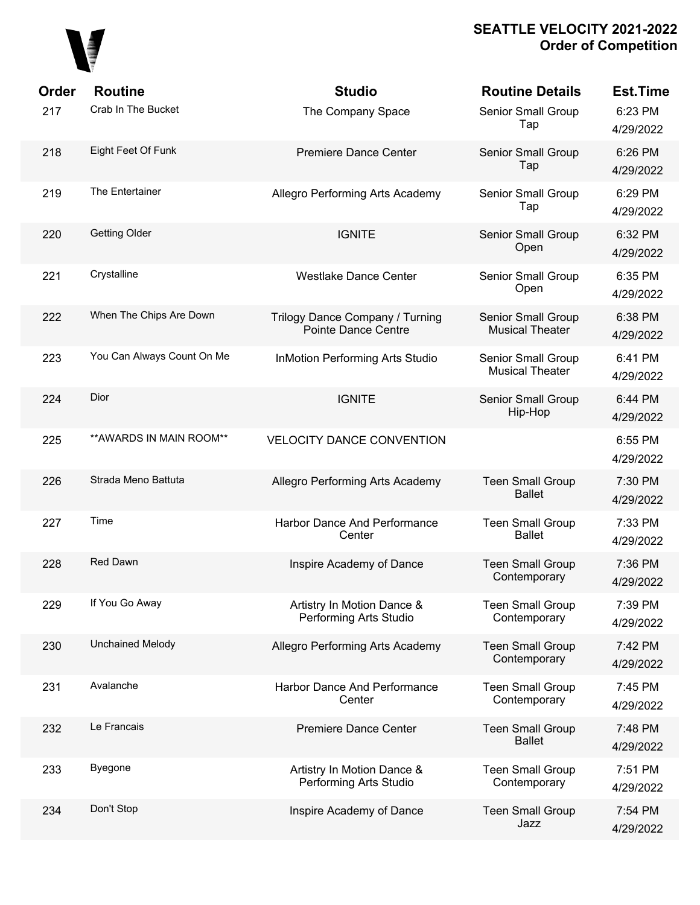

| Order | <b>Routine</b>             | <b>Studio</b>                                                 | <b>Routine Details</b>                       | <b>Est.Time</b>      |
|-------|----------------------------|---------------------------------------------------------------|----------------------------------------------|----------------------|
| 217   | Crab In The Bucket         | The Company Space                                             | Senior Small Group<br>Tap                    | 6:23 PM<br>4/29/2022 |
| 218   | Eight Feet Of Funk         | <b>Premiere Dance Center</b>                                  | Senior Small Group<br>Tap                    | 6:26 PM<br>4/29/2022 |
| 219   | The Entertainer            | Allegro Performing Arts Academy                               | Senior Small Group<br>Tap                    | 6:29 PM<br>4/29/2022 |
| 220   | <b>Getting Older</b>       | <b>IGNITE</b>                                                 | <b>Senior Small Group</b><br>Open            | 6:32 PM<br>4/29/2022 |
| 221   | Crystalline                | <b>Westlake Dance Center</b>                                  | Senior Small Group<br>Open                   | 6:35 PM<br>4/29/2022 |
| 222   | When The Chips Are Down    | Trilogy Dance Company / Turning<br><b>Pointe Dance Centre</b> | Senior Small Group<br><b>Musical Theater</b> | 6:38 PM<br>4/29/2022 |
| 223   | You Can Always Count On Me | <b>InMotion Performing Arts Studio</b>                        | Senior Small Group<br><b>Musical Theater</b> | 6:41 PM<br>4/29/2022 |
| 224   | <b>Dior</b>                | <b>IGNITE</b>                                                 | Senior Small Group<br>Hip-Hop                | 6:44 PM<br>4/29/2022 |
| 225   | ** AWARDS IN MAIN ROOM**   | <b>VELOCITY DANCE CONVENTION</b>                              |                                              | 6:55 PM<br>4/29/2022 |
| 226   | Strada Meno Battuta        | Allegro Performing Arts Academy                               | <b>Teen Small Group</b><br><b>Ballet</b>     | 7:30 PM<br>4/29/2022 |
| 227   | Time                       | Harbor Dance And Performance<br>Center                        | <b>Teen Small Group</b><br><b>Ballet</b>     | 7:33 PM<br>4/29/2022 |
| 228   | Red Dawn                   | Inspire Academy of Dance                                      | <b>Teen Small Group</b><br>Contemporary      | 7:36 PM<br>4/29/2022 |
| 229   | If You Go Away             | Artistry In Motion Dance &<br>Performing Arts Studio          | <b>Teen Small Group</b><br>Contemporary      | 7:39 PM<br>4/29/2022 |
| 230   | <b>Unchained Melody</b>    | Allegro Performing Arts Academy                               | <b>Teen Small Group</b><br>Contemporary      | 7:42 PM<br>4/29/2022 |
| 231   | Avalanche                  | Harbor Dance And Performance<br>Center                        | <b>Teen Small Group</b><br>Contemporary      | 7:45 PM<br>4/29/2022 |
| 232   | Le Francais                | Premiere Dance Center                                         | <b>Teen Small Group</b><br><b>Ballet</b>     | 7:48 PM<br>4/29/2022 |
| 233   | Byegone                    | Artistry In Motion Dance &<br>Performing Arts Studio          | <b>Teen Small Group</b><br>Contemporary      | 7:51 PM<br>4/29/2022 |
| 234   | Don't Stop                 | Inspire Academy of Dance                                      | <b>Teen Small Group</b><br>Jazz              | 7:54 PM<br>4/29/2022 |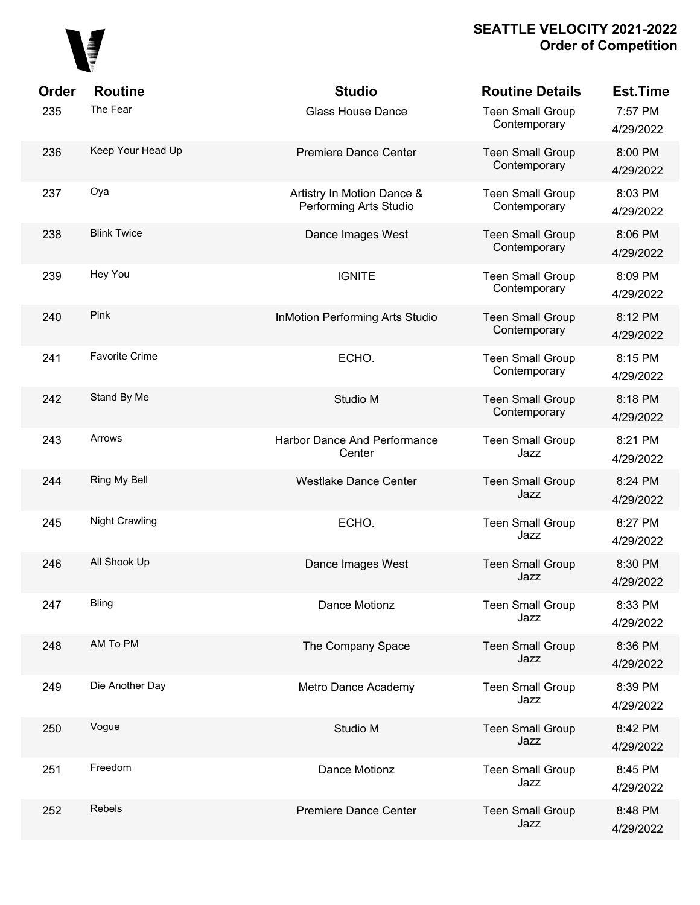

| Order | <b>Routine</b>        | <b>Studio</b>                                        | <b>Routine Details</b>                  | <b>Est.Time</b>      |
|-------|-----------------------|------------------------------------------------------|-----------------------------------------|----------------------|
| 235   | The Fear              | <b>Glass House Dance</b>                             | <b>Teen Small Group</b><br>Contemporary | 7:57 PM<br>4/29/2022 |
| 236   | Keep Your Head Up     | Premiere Dance Center                                | <b>Teen Small Group</b><br>Contemporary | 8:00 PM<br>4/29/2022 |
| 237   | Oya                   | Artistry In Motion Dance &<br>Performing Arts Studio | <b>Teen Small Group</b><br>Contemporary | 8:03 PM<br>4/29/2022 |
| 238   | <b>Blink Twice</b>    | Dance Images West                                    | <b>Teen Small Group</b><br>Contemporary | 8:06 PM<br>4/29/2022 |
| 239   | Hey You               | <b>IGNITE</b>                                        | <b>Teen Small Group</b><br>Contemporary | 8:09 PM<br>4/29/2022 |
| 240   | Pink                  | <b>InMotion Performing Arts Studio</b>               | <b>Teen Small Group</b><br>Contemporary | 8:12 PM<br>4/29/2022 |
| 241   | <b>Favorite Crime</b> | ECHO.                                                | <b>Teen Small Group</b><br>Contemporary | 8:15 PM<br>4/29/2022 |
| 242   | Stand By Me           | Studio M                                             | <b>Teen Small Group</b><br>Contemporary | 8:18 PM<br>4/29/2022 |
| 243   | Arrows                | Harbor Dance And Performance<br>Center               | <b>Teen Small Group</b><br>Jazz         | 8:21 PM<br>4/29/2022 |
| 244   | Ring My Bell          | Westlake Dance Center                                | <b>Teen Small Group</b><br>Jazz         | 8:24 PM<br>4/29/2022 |
| 245   | <b>Night Crawling</b> | ECHO.                                                | <b>Teen Small Group</b><br>Jazz         | 8:27 PM<br>4/29/2022 |
| 246   | All Shook Up          | Dance Images West                                    | <b>Teen Small Group</b><br>Jazz         | 8:30 PM<br>4/29/2022 |
| 247   | <b>Bling</b>          | Dance Motionz                                        | <b>Teen Small Group</b><br>Jazz         | 8:33 PM<br>4/29/2022 |
| 248   | AM To PM              | The Company Space                                    | <b>Teen Small Group</b><br>Jazz         | 8:36 PM<br>4/29/2022 |
| 249   | Die Another Day       | Metro Dance Academy                                  | <b>Teen Small Group</b><br>Jazz         | 8:39 PM<br>4/29/2022 |
| 250   | Vogue                 | Studio M                                             | <b>Teen Small Group</b><br>Jazz         | 8:42 PM<br>4/29/2022 |
| 251   | Freedom               | Dance Motionz                                        | <b>Teen Small Group</b><br>Jazz         | 8:45 PM<br>4/29/2022 |
| 252   | Rebels                | Premiere Dance Center                                | <b>Teen Small Group</b><br>Jazz         | 8:48 PM<br>4/29/2022 |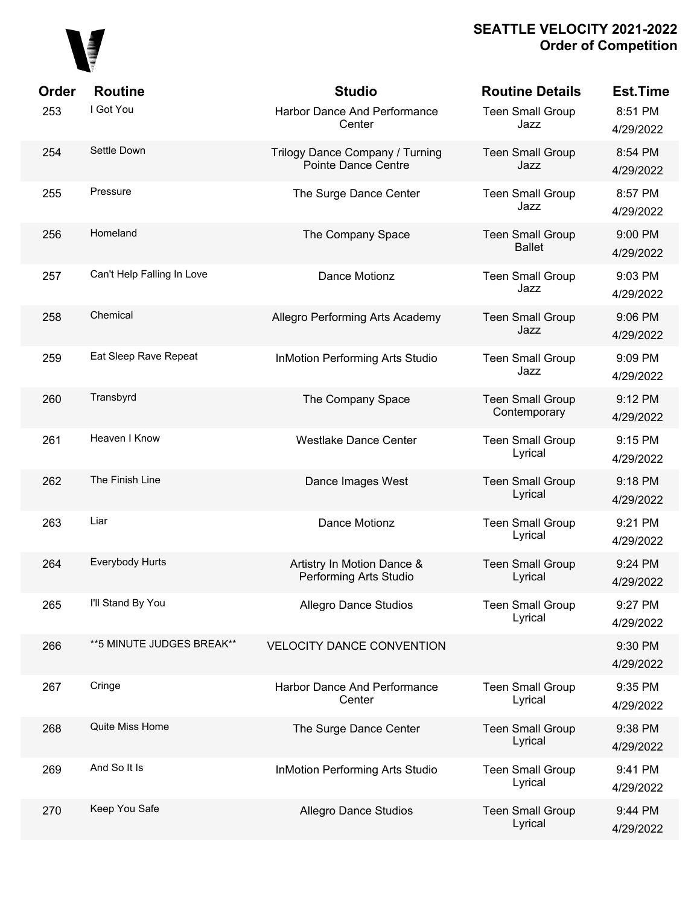

| <b>Order</b> | <b>Routine</b>             | <b>Studio</b>                                                 | <b>Routine Details</b>                   | <b>Est.Time</b>      |
|--------------|----------------------------|---------------------------------------------------------------|------------------------------------------|----------------------|
| 253          | I Got You                  | Harbor Dance And Performance<br>Center                        | <b>Teen Small Group</b><br>Jazz          | 8:51 PM<br>4/29/2022 |
| 254          | Settle Down                | Trilogy Dance Company / Turning<br><b>Pointe Dance Centre</b> | <b>Teen Small Group</b><br>Jazz          | 8:54 PM<br>4/29/2022 |
| 255          | Pressure                   | The Surge Dance Center                                        | <b>Teen Small Group</b><br>Jazz          | 8:57 PM<br>4/29/2022 |
| 256          | Homeland                   | The Company Space                                             | <b>Teen Small Group</b><br><b>Ballet</b> | 9:00 PM<br>4/29/2022 |
| 257          | Can't Help Falling In Love | Dance Motionz                                                 | <b>Teen Small Group</b><br>Jazz          | 9:03 PM<br>4/29/2022 |
| 258          | Chemical                   | Allegro Performing Arts Academy                               | <b>Teen Small Group</b><br>Jazz          | 9:06 PM<br>4/29/2022 |
| 259          | Eat Sleep Rave Repeat      | <b>InMotion Performing Arts Studio</b>                        | <b>Teen Small Group</b><br>Jazz          | 9:09 PM<br>4/29/2022 |
| 260          | Transbyrd                  | The Company Space                                             | <b>Teen Small Group</b><br>Contemporary  | 9:12 PM<br>4/29/2022 |
| 261          | Heaven I Know              | <b>Westlake Dance Center</b>                                  | <b>Teen Small Group</b><br>Lyrical       | 9:15 PM<br>4/29/2022 |
| 262          | The Finish Line            | Dance Images West                                             | <b>Teen Small Group</b><br>Lyrical       | 9:18 PM<br>4/29/2022 |
| 263          | Liar                       | Dance Motionz                                                 | <b>Teen Small Group</b><br>Lyrical       | 9:21 PM<br>4/29/2022 |
| 264          | Everybody Hurts            | Artistry In Motion Dance &<br>Performing Arts Studio          | <b>Teen Small Group</b><br>Lyrical       | 9:24 PM<br>4/29/2022 |
| 265          | I'll Stand By You          | <b>Allegro Dance Studios</b>                                  | <b>Teen Small Group</b><br>Lyrical       | 9:27 PM<br>4/29/2022 |
| 266          | ** 5 MINUTE JUDGES BREAK** | <b>VELOCITY DANCE CONVENTION</b>                              |                                          | 9:30 PM<br>4/29/2022 |
| 267          | Cringe                     | Harbor Dance And Performance<br>Center                        | <b>Teen Small Group</b><br>Lyrical       | 9:35 PM<br>4/29/2022 |
| 268          | Quite Miss Home            | The Surge Dance Center                                        | <b>Teen Small Group</b><br>Lyrical       | 9:38 PM<br>4/29/2022 |
| 269          | And So It Is               | <b>InMotion Performing Arts Studio</b>                        | <b>Teen Small Group</b><br>Lyrical       | 9:41 PM<br>4/29/2022 |
| 270          | Keep You Safe              | <b>Allegro Dance Studios</b>                                  | <b>Teen Small Group</b><br>Lyrical       | 9:44 PM<br>4/29/2022 |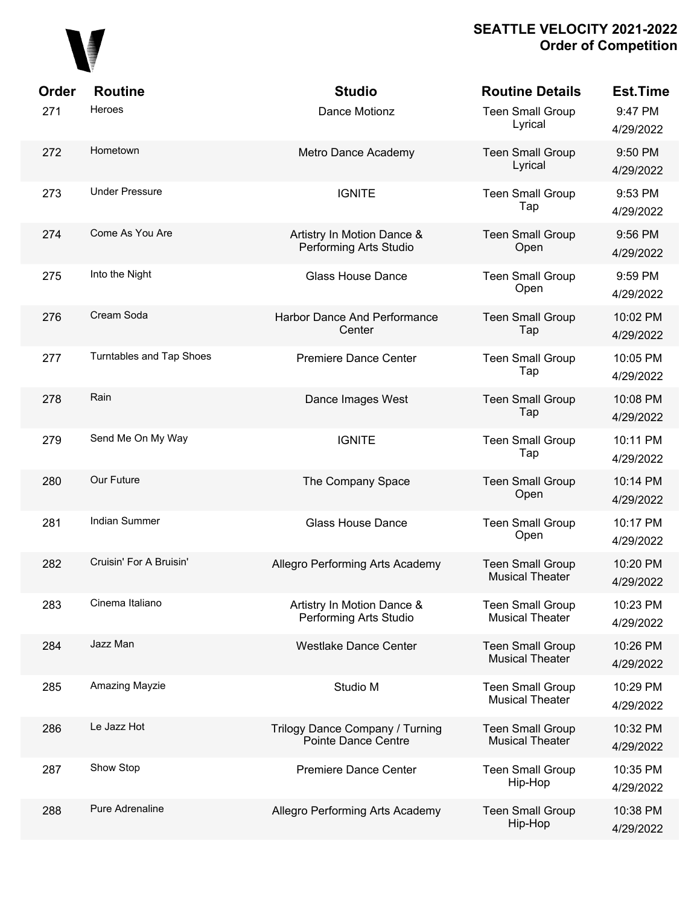

| Order | <b>Routine</b>           | <b>Studio</b>                                                 | <b>Routine Details</b>                            | <b>Est.Time</b>       |
|-------|--------------------------|---------------------------------------------------------------|---------------------------------------------------|-----------------------|
| 271   | <b>Heroes</b>            | Dance Motionz                                                 | <b>Teen Small Group</b><br>Lyrical                | 9:47 PM<br>4/29/2022  |
| 272   | Hometown                 | Metro Dance Academy                                           | <b>Teen Small Group</b><br>Lyrical                | 9:50 PM<br>4/29/2022  |
| 273   | <b>Under Pressure</b>    | <b>IGNITE</b>                                                 | <b>Teen Small Group</b><br>Tap                    | 9:53 PM<br>4/29/2022  |
| 274   | Come As You Are          | Artistry In Motion Dance &<br>Performing Arts Studio          | <b>Teen Small Group</b><br>Open                   | 9:56 PM<br>4/29/2022  |
| 275   | Into the Night           | <b>Glass House Dance</b>                                      | <b>Teen Small Group</b><br>Open                   | 9:59 PM<br>4/29/2022  |
| 276   | Cream Soda               | Harbor Dance And Performance<br>Center                        | <b>Teen Small Group</b><br>Tap                    | 10:02 PM<br>4/29/2022 |
| 277   | Turntables and Tap Shoes | <b>Premiere Dance Center</b>                                  | <b>Teen Small Group</b><br>Tap                    | 10:05 PM<br>4/29/2022 |
| 278   | Rain                     | Dance Images West                                             | <b>Teen Small Group</b><br>Tap                    | 10:08 PM<br>4/29/2022 |
| 279   | Send Me On My Way        | <b>IGNITE</b>                                                 | <b>Teen Small Group</b><br>Tap                    | 10:11 PM<br>4/29/2022 |
| 280   | Our Future               | The Company Space                                             | <b>Teen Small Group</b><br>Open                   | 10:14 PM<br>4/29/2022 |
| 281   | <b>Indian Summer</b>     | <b>Glass House Dance</b>                                      | <b>Teen Small Group</b><br>Open                   | 10:17 PM<br>4/29/2022 |
| 282   | Cruisin' For A Bruisin'  | Allegro Performing Arts Academy                               | <b>Teen Small Group</b><br><b>Musical Theater</b> | 10:20 PM<br>4/29/2022 |
| 283   | Cinema Italiano          | Artistry In Motion Dance &<br>Performing Arts Studio          | <b>Teen Small Group</b><br><b>Musical Theater</b> | 10:23 PM<br>4/29/2022 |
| 284   | Jazz Man                 | <b>Westlake Dance Center</b>                                  | <b>Teen Small Group</b><br><b>Musical Theater</b> | 10:26 PM<br>4/29/2022 |
| 285   | Amazing Mayzie           | Studio M                                                      | <b>Teen Small Group</b><br><b>Musical Theater</b> | 10:29 PM<br>4/29/2022 |
| 286   | Le Jazz Hot              | Trilogy Dance Company / Turning<br><b>Pointe Dance Centre</b> | <b>Teen Small Group</b><br><b>Musical Theater</b> | 10:32 PM<br>4/29/2022 |
| 287   | Show Stop                | Premiere Dance Center                                         | <b>Teen Small Group</b><br>Hip-Hop                | 10:35 PM<br>4/29/2022 |
| 288   | Pure Adrenaline          | Allegro Performing Arts Academy                               | <b>Teen Small Group</b><br>Hip-Hop                | 10:38 PM<br>4/29/2022 |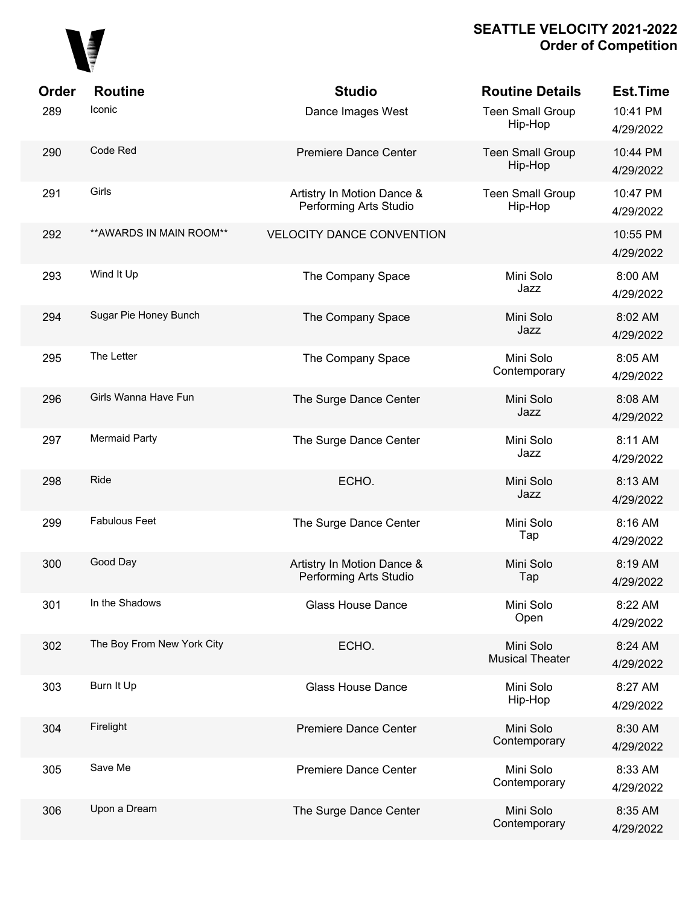

| Order | <b>Routine</b>             | <b>Studio</b>                                        | <b>Routine Details</b>              | <b>Est.Time</b>       |
|-------|----------------------------|------------------------------------------------------|-------------------------------------|-----------------------|
| 289   | Iconic                     | Dance Images West                                    | <b>Teen Small Group</b><br>Hip-Hop  | 10:41 PM<br>4/29/2022 |
| 290   | Code Red                   | <b>Premiere Dance Center</b>                         | <b>Teen Small Group</b><br>Hip-Hop  | 10:44 PM<br>4/29/2022 |
| 291   | Girls                      | Artistry In Motion Dance &<br>Performing Arts Studio | <b>Teen Small Group</b><br>Hip-Hop  | 10:47 PM<br>4/29/2022 |
| 292   | ** AWARDS IN MAIN ROOM**   | <b>VELOCITY DANCE CONVENTION</b>                     |                                     | 10:55 PM<br>4/29/2022 |
| 293   | Wind It Up                 | The Company Space                                    | Mini Solo<br>Jazz                   | 8:00 AM<br>4/29/2022  |
| 294   | Sugar Pie Honey Bunch      | The Company Space                                    | Mini Solo<br>Jazz                   | 8:02 AM<br>4/29/2022  |
| 295   | The Letter                 | The Company Space                                    | Mini Solo<br>Contemporary           | 8:05 AM<br>4/29/2022  |
| 296   | Girls Wanna Have Fun       | The Surge Dance Center                               | Mini Solo<br>Jazz                   | 8:08 AM<br>4/29/2022  |
| 297   | <b>Mermaid Party</b>       | The Surge Dance Center                               | Mini Solo<br>Jazz                   | 8:11 AM<br>4/29/2022  |
| 298   | Ride                       | ECHO.                                                | Mini Solo<br>Jazz                   | 8:13 AM<br>4/29/2022  |
| 299   | <b>Fabulous Feet</b>       | The Surge Dance Center                               | Mini Solo<br>Tap                    | 8:16 AM<br>4/29/2022  |
| 300   | Good Day                   | Artistry In Motion Dance &<br>Performing Arts Studio | Mini Solo<br>Tap                    | 8:19 AM<br>4/29/2022  |
| 301   | In the Shadows             | <b>Glass House Dance</b>                             | Mini Solo<br>Open                   | 8:22 AM<br>4/29/2022  |
| 302   | The Boy From New York City | ECHO.                                                | Mini Solo<br><b>Musical Theater</b> | 8:24 AM<br>4/29/2022  |
| 303   | Burn It Up                 | <b>Glass House Dance</b>                             | Mini Solo<br>Hip-Hop                | 8:27 AM<br>4/29/2022  |
| 304   | Firelight                  | Premiere Dance Center                                | Mini Solo<br>Contemporary           | 8:30 AM<br>4/29/2022  |
| 305   | Save Me                    | <b>Premiere Dance Center</b>                         | Mini Solo<br>Contemporary           | 8:33 AM<br>4/29/2022  |
| 306   | Upon a Dream               | The Surge Dance Center                               | Mini Solo<br>Contemporary           | 8:35 AM<br>4/29/2022  |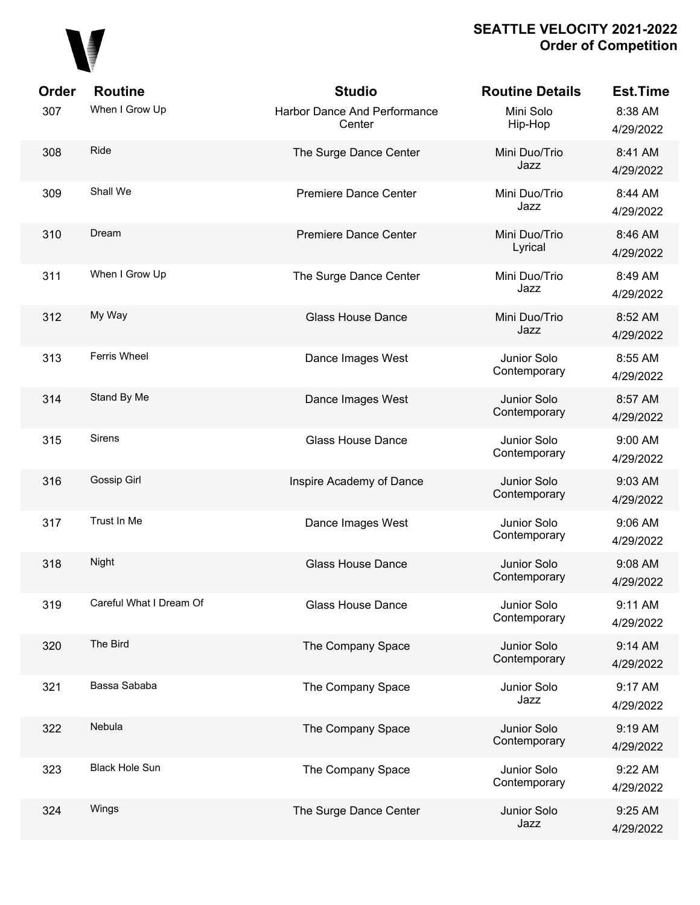# 

| Order | <b>Routine</b>          | <b>Studio</b>                          | <b>Routine Details</b>      | <b>Est.Time</b>      |
|-------|-------------------------|----------------------------------------|-----------------------------|----------------------|
| 307   | When I Grow Up          | Harbor Dance And Performance<br>Center | Mini Solo<br>Hip-Hop        | 8:38 AM<br>4/29/2022 |
| 308   | Ride                    | The Surge Dance Center                 | Mini Duo/Trio<br>Jazz       | 8:41 AM<br>4/29/2022 |
| 309   | Shall We                | <b>Premiere Dance Center</b>           | Mini Duo/Trio<br>Jazz       | 8:44 AM<br>4/29/2022 |
| 310   | Dream                   | Premiere Dance Center                  | Mini Duo/Trio<br>Lyrical    | 8:46 AM<br>4/29/2022 |
| 311   | When I Grow Up          | The Surge Dance Center                 | Mini Duo/Trio<br>Jazz       | 8:49 AM<br>4/29/2022 |
| 312   | My Way                  | <b>Glass House Dance</b>               | Mini Duo/Trio<br>Jazz       | 8:52 AM<br>4/29/2022 |
| 313   | Ferris Wheel            | Dance Images West                      | Junior Solo<br>Contemporary | 8:55 AM<br>4/29/2022 |
| 314   | Stand By Me             | Dance Images West                      | Junior Solo<br>Contemporary | 8:57 AM<br>4/29/2022 |
| 315   | Sirens                  | <b>Glass House Dance</b>               | Junior Solo<br>Contemporary | 9:00 AM<br>4/29/2022 |
| 316   | Gossip Girl             | Inspire Academy of Dance               | Junior Solo<br>Contemporary | 9:03 AM<br>4/29/2022 |
| 317   | Trust In Me             | Dance Images West                      | Junior Solo<br>Contemporary | 9:06 AM<br>4/29/2022 |
| 318   | Night                   | <b>Glass House Dance</b>               | Junior Solo<br>Contemporary | 9:08 AM<br>4/29/2022 |
| 319   | Careful What I Dream Of | <b>Glass House Dance</b>               | Junior Solo<br>Contemporary | 9:11 AM<br>4/29/2022 |
| 320   | The Bird                | The Company Space                      | Junior Solo<br>Contemporary | 9:14 AM<br>4/29/2022 |
| 321   | Bassa Sababa            | The Company Space                      | Junior Solo<br>Jazz         | 9:17 AM<br>4/29/2022 |
| 322   | Nebula                  | The Company Space                      | Junior Solo<br>Contemporary | 9:19 AM<br>4/29/2022 |
| 323   | <b>Black Hole Sun</b>   | The Company Space                      | Junior Solo<br>Contemporary | 9:22 AM<br>4/29/2022 |
| 324   | Wings                   | The Surge Dance Center                 | Junior Solo<br>Jazz         | 9:25 AM<br>4/29/2022 |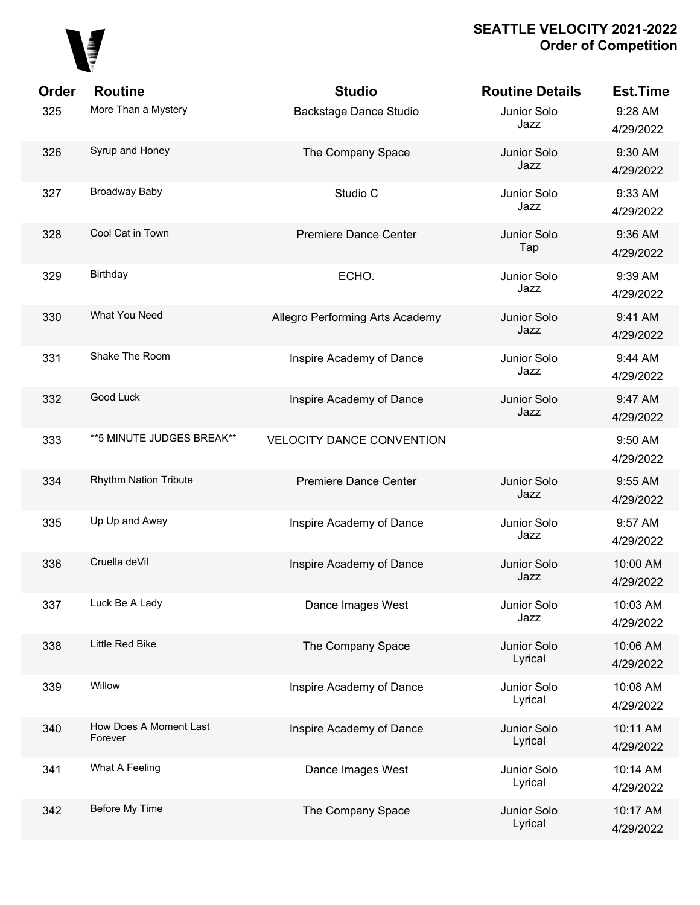

| Order | <b>Routine</b>                    | <b>Studio</b>                    | <b>Routine Details</b> | <b>Est.Time</b>       |
|-------|-----------------------------------|----------------------------------|------------------------|-----------------------|
| 325   | More Than a Mystery               | Backstage Dance Studio           | Junior Solo<br>Jazz    | 9:28 AM<br>4/29/2022  |
| 326   | Syrup and Honey                   | The Company Space                | Junior Solo<br>Jazz    | 9:30 AM<br>4/29/2022  |
| 327   | Broadway Baby                     | Studio C                         | Junior Solo<br>Jazz    | 9:33 AM<br>4/29/2022  |
| 328   | Cool Cat in Town                  | <b>Premiere Dance Center</b>     | Junior Solo<br>Tap     | 9:36 AM<br>4/29/2022  |
| 329   | <b>Birthday</b>                   | ECHO.                            | Junior Solo<br>Jazz    | 9:39 AM<br>4/29/2022  |
| 330   | What You Need                     | Allegro Performing Arts Academy  | Junior Solo<br>Jazz    | 9:41 AM<br>4/29/2022  |
| 331   | Shake The Room                    | Inspire Academy of Dance         | Junior Solo<br>Jazz    | 9:44 AM<br>4/29/2022  |
| 332   | Good Luck                         | Inspire Academy of Dance         | Junior Solo<br>Jazz    | 9:47 AM<br>4/29/2022  |
| 333   | ** 5 MINUTE JUDGES BREAK**        | <b>VELOCITY DANCE CONVENTION</b> |                        | 9:50 AM<br>4/29/2022  |
| 334   | <b>Rhythm Nation Tribute</b>      | <b>Premiere Dance Center</b>     | Junior Solo<br>Jazz    | 9:55 AM<br>4/29/2022  |
| 335   | Up Up and Away                    | Inspire Academy of Dance         | Junior Solo<br>Jazz    | 9:57 AM<br>4/29/2022  |
| 336   | Cruella deVil                     | Inspire Academy of Dance         | Junior Solo<br>Jazz    | 10:00 AM<br>4/29/2022 |
| 337   | Luck Be A Lady                    | Dance Images West                | Junior Solo<br>Jazz    | 10:03 AM<br>4/29/2022 |
| 338   | Little Red Bike                   | The Company Space                | Junior Solo<br>Lyrical | 10:06 AM<br>4/29/2022 |
| 339   | Willow                            | Inspire Academy of Dance         | Junior Solo<br>Lyrical | 10:08 AM<br>4/29/2022 |
| 340   | How Does A Moment Last<br>Forever | Inspire Academy of Dance         | Junior Solo<br>Lyrical | 10:11 AM<br>4/29/2022 |
| 341   | What A Feeling                    | Dance Images West                | Junior Solo<br>Lyrical | 10:14 AM<br>4/29/2022 |
| 342   | Before My Time                    | The Company Space                | Junior Solo<br>Lyrical | 10:17 AM<br>4/29/2022 |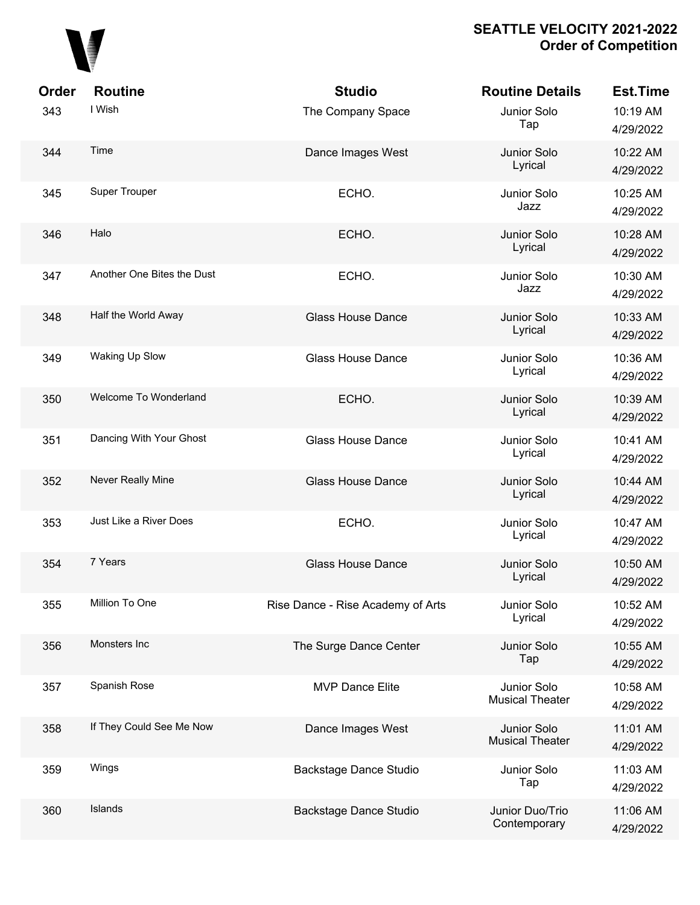

| <b>Order</b> | <b>Routine</b>             | <b>Studio</b>                     | <b>Routine Details</b>                | <b>Est.Time</b>       |
|--------------|----------------------------|-----------------------------------|---------------------------------------|-----------------------|
| 343          | I Wish                     | The Company Space                 | Junior Solo<br>Tap                    | 10:19 AM<br>4/29/2022 |
| 344          | Time                       | Dance Images West                 | Junior Solo<br>Lyrical                | 10:22 AM<br>4/29/2022 |
| 345          | <b>Super Trouper</b>       | ECHO.                             | Junior Solo<br>Jazz                   | 10:25 AM<br>4/29/2022 |
| 346          | Halo                       | ECHO.                             | Junior Solo<br>Lyrical                | 10:28 AM<br>4/29/2022 |
| 347          | Another One Bites the Dust | ECHO.                             | Junior Solo<br>Jazz                   | 10:30 AM<br>4/29/2022 |
| 348          | Half the World Away        | <b>Glass House Dance</b>          | Junior Solo<br>Lyrical                | 10:33 AM<br>4/29/2022 |
| 349          | Waking Up Slow             | <b>Glass House Dance</b>          | Junior Solo<br>Lyrical                | 10:36 AM<br>4/29/2022 |
| 350          | Welcome To Wonderland      | ECHO.                             | Junior Solo<br>Lyrical                | 10:39 AM<br>4/29/2022 |
| 351          | Dancing With Your Ghost    | <b>Glass House Dance</b>          | Junior Solo<br>Lyrical                | 10:41 AM<br>4/29/2022 |
| 352          | Never Really Mine          | <b>Glass House Dance</b>          | Junior Solo<br>Lyrical                | 10:44 AM<br>4/29/2022 |
| 353          | Just Like a River Does     | ECHO.                             | Junior Solo<br>Lyrical                | 10:47 AM<br>4/29/2022 |
| 354          | 7 Years                    | <b>Glass House Dance</b>          | Junior Solo<br>Lyrical                | 10:50 AM<br>4/29/2022 |
| 355          | Million To One             | Rise Dance - Rise Academy of Arts | Junior Solo<br>Lyrical                | 10:52 AM<br>4/29/2022 |
| 356          | Monsters Inc               | The Surge Dance Center            | Junior Solo<br>Tap                    | 10:55 AM<br>4/29/2022 |
| 357          | Spanish Rose               | <b>MVP Dance Elite</b>            | Junior Solo<br><b>Musical Theater</b> | 10:58 AM<br>4/29/2022 |
| 358          | If They Could See Me Now   | Dance Images West                 | Junior Solo<br><b>Musical Theater</b> | 11:01 AM<br>4/29/2022 |
| 359          | Wings                      | <b>Backstage Dance Studio</b>     | Junior Solo<br>Tap                    | 11:03 AM<br>4/29/2022 |
| 360          | Islands                    | Backstage Dance Studio            | Junior Duo/Trio<br>Contemporary       | 11:06 AM<br>4/29/2022 |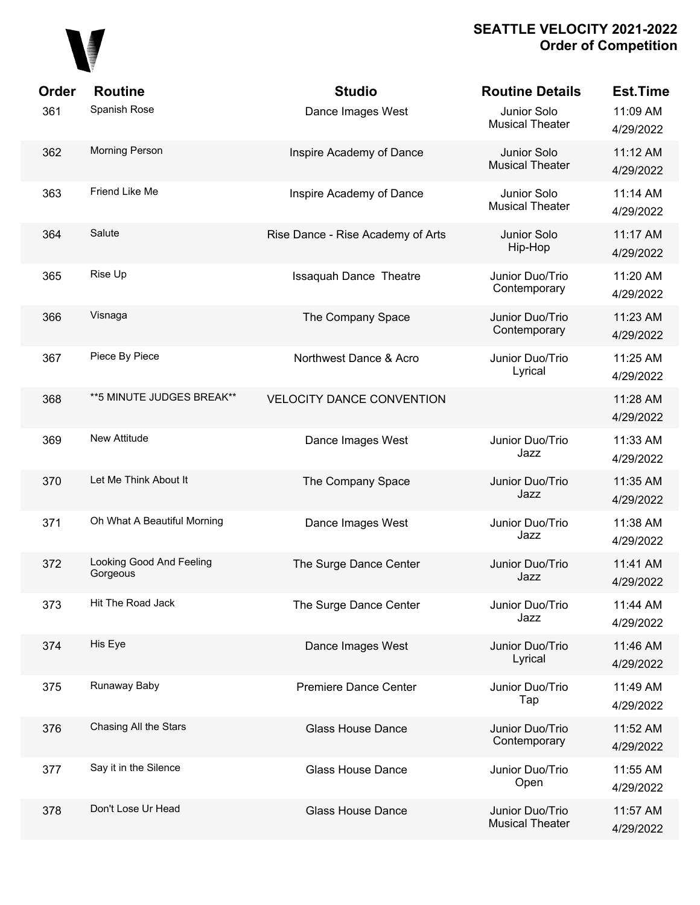

| Order | <b>Routine</b>                       | <b>Studio</b>                     | <b>Routine Details</b>                    | <b>Est.Time</b>       |
|-------|--------------------------------------|-----------------------------------|-------------------------------------------|-----------------------|
| 361   | Spanish Rose                         | Dance Images West                 | Junior Solo<br><b>Musical Theater</b>     | 11:09 AM<br>4/29/2022 |
| 362   | Morning Person                       | Inspire Academy of Dance          | Junior Solo<br><b>Musical Theater</b>     | 11:12 AM<br>4/29/2022 |
| 363   | Friend Like Me                       | Inspire Academy of Dance          | Junior Solo<br><b>Musical Theater</b>     | 11:14 AM<br>4/29/2022 |
| 364   | Salute                               | Rise Dance - Rise Academy of Arts | Junior Solo<br>Hip-Hop                    | 11:17 AM<br>4/29/2022 |
| 365   | Rise Up                              | <b>Issaquah Dance Theatre</b>     | Junior Duo/Trio<br>Contemporary           | 11:20 AM<br>4/29/2022 |
| 366   | Visnaga                              | The Company Space                 | Junior Duo/Trio<br>Contemporary           | 11:23 AM<br>4/29/2022 |
| 367   | Piece By Piece                       | Northwest Dance & Acro            | Junior Duo/Trio<br>Lyrical                | 11:25 AM<br>4/29/2022 |
| 368   | ** 5 MINUTE JUDGES BREAK**           | <b>VELOCITY DANCE CONVENTION</b>  |                                           | 11:28 AM<br>4/29/2022 |
| 369   | <b>New Attitude</b>                  | Dance Images West                 | Junior Duo/Trio<br>Jazz                   | 11:33 AM<br>4/29/2022 |
| 370   | Let Me Think About It                | The Company Space                 | Junior Duo/Trio<br>Jazz                   | 11:35 AM<br>4/29/2022 |
| 371   | Oh What A Beautiful Morning          | Dance Images West                 | Junior Duo/Trio<br>Jazz                   | 11:38 AM<br>4/29/2022 |
| 372   | Looking Good And Feeling<br>Gorgeous | The Surge Dance Center            | Junior Duo/Trio<br>Jazz                   | 11:41 AM<br>4/29/2022 |
| 373   | Hit The Road Jack                    | The Surge Dance Center            | Junior Duo/Trio<br>Jazz                   | 11:44 AM<br>4/29/2022 |
| 374   | His Eye                              | Dance Images West                 | Junior Duo/Trio<br>Lyrical                | 11:46 AM<br>4/29/2022 |
| 375   | Runaway Baby                         | <b>Premiere Dance Center</b>      | Junior Duo/Trio<br>Tap                    | 11:49 AM<br>4/29/2022 |
| 376   | Chasing All the Stars                | <b>Glass House Dance</b>          | Junior Duo/Trio<br>Contemporary           | 11:52 AM<br>4/29/2022 |
| 377   | Say it in the Silence                | <b>Glass House Dance</b>          | Junior Duo/Trio<br>Open                   | 11:55 AM<br>4/29/2022 |
| 378   | Don't Lose Ur Head                   | <b>Glass House Dance</b>          | Junior Duo/Trio<br><b>Musical Theater</b> | 11:57 AM<br>4/29/2022 |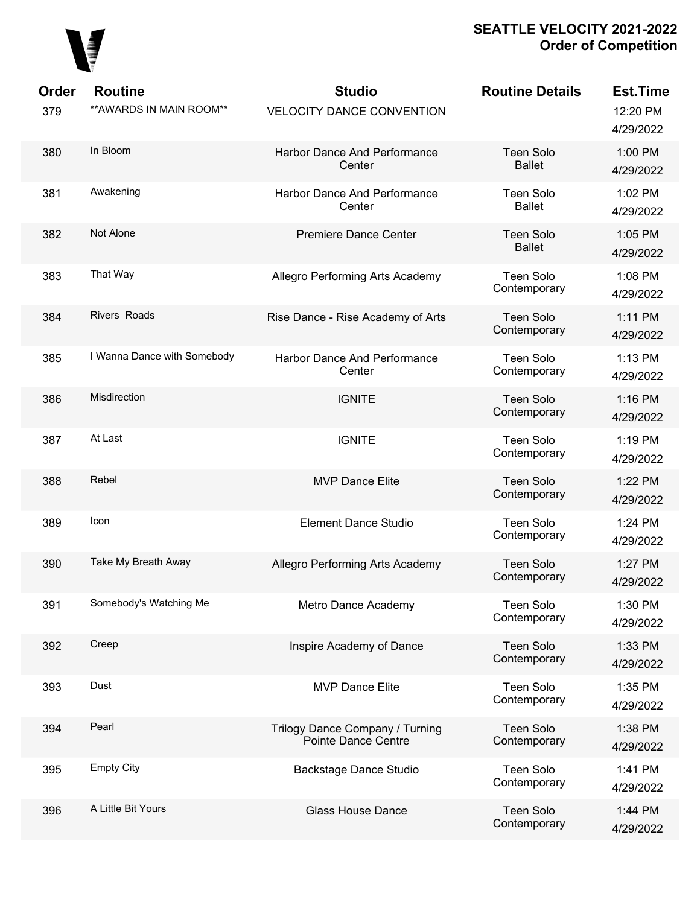

| Order<br>379 | <b>Routine</b><br>** AWARDS IN MAIN ROOM** | <b>Studio</b><br><b>VELOCITY DANCE CONVENTION</b>             | <b>Routine Details</b>            | <b>Est.Time</b><br>12:20 PM<br>4/29/2022 |
|--------------|--------------------------------------------|---------------------------------------------------------------|-----------------------------------|------------------------------------------|
| 380          | In Bloom                                   | Harbor Dance And Performance<br>Center                        | <b>Teen Solo</b><br><b>Ballet</b> | 1:00 PM<br>4/29/2022                     |
| 381          | Awakening                                  | Harbor Dance And Performance<br>Center                        | <b>Teen Solo</b><br><b>Ballet</b> | 1:02 PM<br>4/29/2022                     |
| 382          | Not Alone                                  | <b>Premiere Dance Center</b>                                  | <b>Teen Solo</b><br><b>Ballet</b> | 1:05 PM<br>4/29/2022                     |
| 383          | That Way                                   | Allegro Performing Arts Academy                               | <b>Teen Solo</b><br>Contemporary  | 1:08 PM<br>4/29/2022                     |
| 384          | Rivers Roads                               | Rise Dance - Rise Academy of Arts                             | <b>Teen Solo</b><br>Contemporary  | 1:11 PM<br>4/29/2022                     |
| 385          | I Wanna Dance with Somebody                | Harbor Dance And Performance<br>Center                        | <b>Teen Solo</b><br>Contemporary  | 1:13 PM<br>4/29/2022                     |
| 386          | Misdirection                               | <b>IGNITE</b>                                                 | <b>Teen Solo</b><br>Contemporary  | 1:16 PM<br>4/29/2022                     |
| 387          | At Last                                    | <b>IGNITE</b>                                                 | <b>Teen Solo</b><br>Contemporary  | 1:19 PM<br>4/29/2022                     |
| 388          | Rebel                                      | <b>MVP Dance Elite</b>                                        | <b>Teen Solo</b><br>Contemporary  | 1:22 PM<br>4/29/2022                     |
| 389          | Icon                                       | <b>Element Dance Studio</b>                                   | <b>Teen Solo</b><br>Contemporary  | 1:24 PM<br>4/29/2022                     |
| 390          | Take My Breath Away                        | Allegro Performing Arts Academy                               | <b>Teen Solo</b><br>Contemporary  | 1:27 PM<br>4/29/2022                     |
| 391          | Somebody's Watching Me                     | Metro Dance Academy                                           | <b>Teen Solo</b><br>Contemporary  | 1:30 PM<br>4/29/2022                     |
| 392          | Creep                                      | Inspire Academy of Dance                                      | <b>Teen Solo</b><br>Contemporary  | 1:33 PM<br>4/29/2022                     |
| 393          | Dust                                       | <b>MVP Dance Elite</b>                                        | <b>Teen Solo</b><br>Contemporary  | 1:35 PM<br>4/29/2022                     |
| 394          | Pearl                                      | Trilogy Dance Company / Turning<br><b>Pointe Dance Centre</b> | <b>Teen Solo</b><br>Contemporary  | 1:38 PM<br>4/29/2022                     |
| 395          | <b>Empty City</b>                          | Backstage Dance Studio                                        | <b>Teen Solo</b><br>Contemporary  | 1:41 PM<br>4/29/2022                     |
| 396          | A Little Bit Yours                         | <b>Glass House Dance</b>                                      | <b>Teen Solo</b><br>Contemporary  | 1:44 PM<br>4/29/2022                     |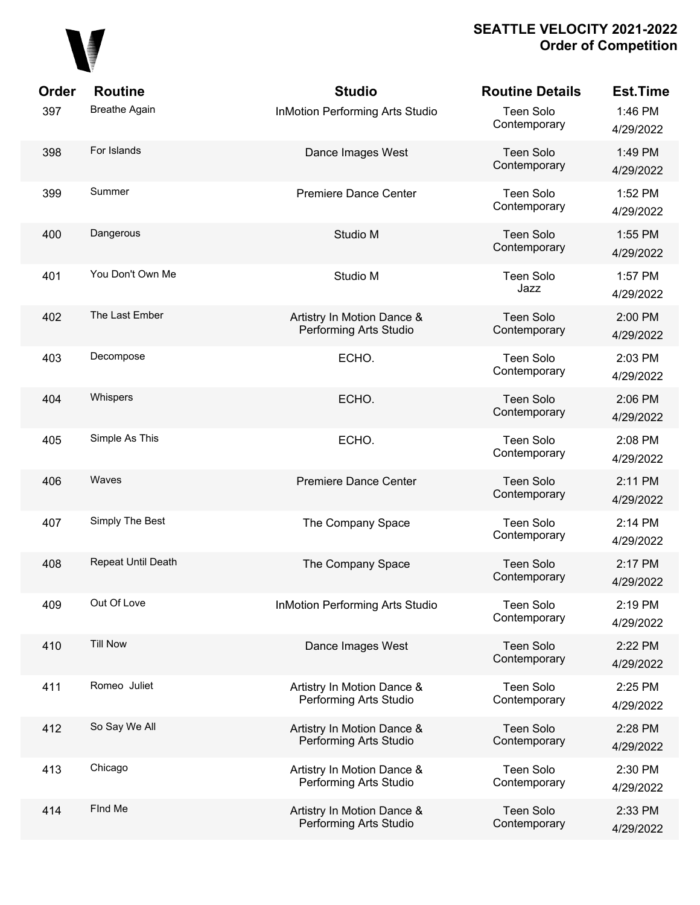

| Order | <b>Routine</b>       | <b>Studio</b>                                        | <b>Routine Details</b>           | <b>Est.Time</b>      |
|-------|----------------------|------------------------------------------------------|----------------------------------|----------------------|
| 397   | <b>Breathe Again</b> | <b>InMotion Performing Arts Studio</b>               | <b>Teen Solo</b><br>Contemporary | 1:46 PM<br>4/29/2022 |
| 398   | For Islands          | Dance Images West                                    | <b>Teen Solo</b><br>Contemporary | 1:49 PM<br>4/29/2022 |
| 399   | Summer               | <b>Premiere Dance Center</b>                         | <b>Teen Solo</b><br>Contemporary | 1:52 PM<br>4/29/2022 |
| 400   | Dangerous            | Studio M                                             | <b>Teen Solo</b><br>Contemporary | 1:55 PM<br>4/29/2022 |
| 401   | You Don't Own Me     | Studio M                                             | <b>Teen Solo</b><br>Jazz         | 1:57 PM<br>4/29/2022 |
| 402   | The Last Ember       | Artistry In Motion Dance &<br>Performing Arts Studio | <b>Teen Solo</b><br>Contemporary | 2:00 PM<br>4/29/2022 |
| 403   | Decompose            | ECHO.                                                | <b>Teen Solo</b><br>Contemporary | 2:03 PM<br>4/29/2022 |
| 404   | Whispers             | ECHO.                                                | <b>Teen Solo</b><br>Contemporary | 2:06 PM<br>4/29/2022 |
| 405   | Simple As This       | ECHO.                                                | <b>Teen Solo</b><br>Contemporary | 2:08 PM<br>4/29/2022 |
| 406   | Waves                | <b>Premiere Dance Center</b>                         | <b>Teen Solo</b><br>Contemporary | 2:11 PM<br>4/29/2022 |
| 407   | Simply The Best      | The Company Space                                    | <b>Teen Solo</b><br>Contemporary | 2:14 PM<br>4/29/2022 |
| 408   | Repeat Until Death   | The Company Space                                    | <b>Teen Solo</b><br>Contemporary | 2:17 PM<br>4/29/2022 |
| 409   | Out Of Love          | <b>InMotion Performing Arts Studio</b>               | <b>Teen Solo</b><br>Contemporary | 2:19 PM<br>4/29/2022 |
| 410   | <b>Till Now</b>      | Dance Images West                                    | <b>Teen Solo</b><br>Contemporary | 2:22 PM<br>4/29/2022 |
| 411   | Romeo Juliet         | Artistry In Motion Dance &<br>Performing Arts Studio | <b>Teen Solo</b><br>Contemporary | 2:25 PM<br>4/29/2022 |
| 412   | So Say We All        | Artistry In Motion Dance &<br>Performing Arts Studio | <b>Teen Solo</b><br>Contemporary | 2:28 PM<br>4/29/2022 |
| 413   | Chicago              | Artistry In Motion Dance &<br>Performing Arts Studio | <b>Teen Solo</b><br>Contemporary | 2:30 PM<br>4/29/2022 |
| 414   | Find Me              | Artistry In Motion Dance &<br>Performing Arts Studio | <b>Teen Solo</b><br>Contemporary | 2:33 PM<br>4/29/2022 |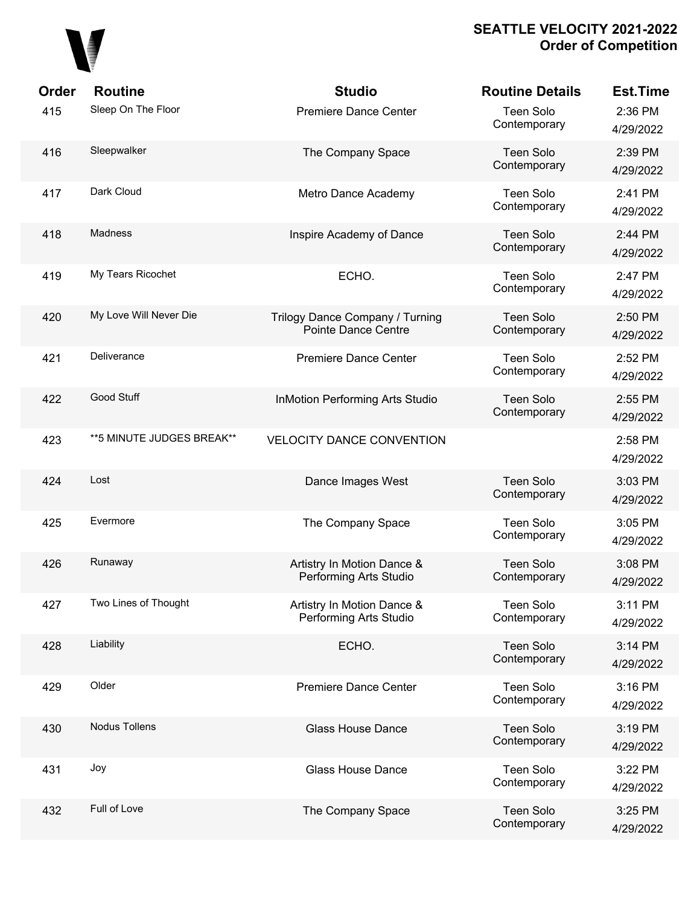

| Order | <b>Routine</b>             | <b>Studio</b>                                                 | <b>Routine Details</b>           | <b>Est.Time</b>      |
|-------|----------------------------|---------------------------------------------------------------|----------------------------------|----------------------|
| 415   | Sleep On The Floor         | <b>Premiere Dance Center</b>                                  | Teen Solo<br>Contemporary        | 2:36 PM<br>4/29/2022 |
| 416   | Sleepwalker                | The Company Space                                             | Teen Solo<br>Contemporary        | 2:39 PM<br>4/29/2022 |
| 417   | Dark Cloud                 | Metro Dance Academy                                           | Teen Solo<br>Contemporary        | 2:41 PM<br>4/29/2022 |
| 418   | <b>Madness</b>             | Inspire Academy of Dance                                      | Teen Solo<br>Contemporary        | 2:44 PM<br>4/29/2022 |
| 419   | My Tears Ricochet          | ECHO.                                                         | Teen Solo<br>Contemporary        | 2:47 PM<br>4/29/2022 |
| 420   | My Love Will Never Die     | Trilogy Dance Company / Turning<br><b>Pointe Dance Centre</b> | Teen Solo<br>Contemporary        | 2:50 PM<br>4/29/2022 |
| 421   | Deliverance                | <b>Premiere Dance Center</b>                                  | Teen Solo<br>Contemporary        | 2:52 PM<br>4/29/2022 |
| 422   | Good Stuff                 | <b>InMotion Performing Arts Studio</b>                        | <b>Teen Solo</b><br>Contemporary | 2:55 PM<br>4/29/2022 |
| 423   | ** 5 MINUTE JUDGES BREAK** | <b>VELOCITY DANCE CONVENTION</b>                              |                                  | 2:58 PM<br>4/29/2022 |
| 424   | Lost                       | Dance Images West                                             | <b>Teen Solo</b><br>Contemporary | 3:03 PM<br>4/29/2022 |
| 425   | Evermore                   | The Company Space                                             | Teen Solo<br>Contemporary        | 3:05 PM<br>4/29/2022 |
| 426   | Runaway                    | Artistry In Motion Dance &<br>Performing Arts Studio          | Teen Solo<br>Contemporary        | 3:08 PM<br>4/29/2022 |
| 427   | Two Lines of Thought       | Artistry In Motion Dance &<br>Performing Arts Studio          | <b>Teen Solo</b><br>Contemporary | 3:11 PM<br>4/29/2022 |
| 428   | Liability                  | ECHO.                                                         | <b>Teen Solo</b><br>Contemporary | 3:14 PM<br>4/29/2022 |
| 429   | Older                      | <b>Premiere Dance Center</b>                                  | <b>Teen Solo</b><br>Contemporary | 3:16 PM<br>4/29/2022 |
| 430   | <b>Nodus Tollens</b>       | <b>Glass House Dance</b>                                      | Teen Solo<br>Contemporary        | 3:19 PM<br>4/29/2022 |
| 431   | Joy                        | <b>Glass House Dance</b>                                      | Teen Solo<br>Contemporary        | 3:22 PM<br>4/29/2022 |
| 432   | Full of Love               | The Company Space                                             | <b>Teen Solo</b><br>Contemporary | 3:25 PM<br>4/29/2022 |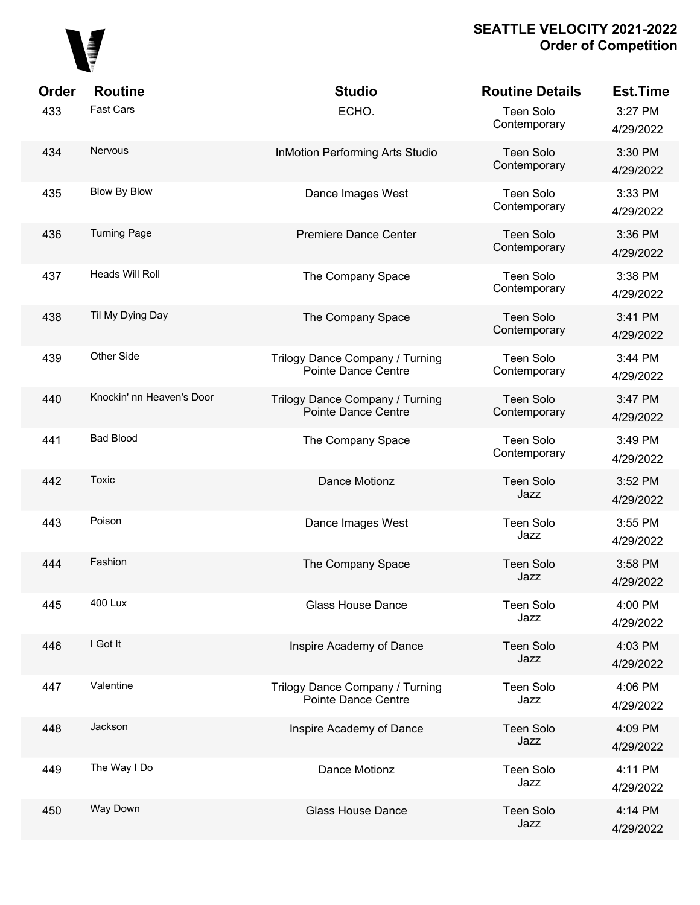

| Order | <b>Routine</b>            | <b>Studio</b>                                                 | <b>Routine Details</b>           | <b>Est.Time</b>      |
|-------|---------------------------|---------------------------------------------------------------|----------------------------------|----------------------|
| 433   | <b>Fast Cars</b>          | ECHO.                                                         | Teen Solo<br>Contemporary        | 3:27 PM<br>4/29/2022 |
| 434   | Nervous                   | <b>InMotion Performing Arts Studio</b>                        | <b>Teen Solo</b><br>Contemporary | 3:30 PM<br>4/29/2022 |
| 435   | Blow By Blow              | Dance Images West                                             | Teen Solo<br>Contemporary        | 3:33 PM<br>4/29/2022 |
| 436   | <b>Turning Page</b>       | Premiere Dance Center                                         | Teen Solo<br>Contemporary        | 3:36 PM<br>4/29/2022 |
| 437   | Heads Will Roll           | The Company Space                                             | Teen Solo<br>Contemporary        | 3:38 PM<br>4/29/2022 |
| 438   | Til My Dying Day          | The Company Space                                             | <b>Teen Solo</b><br>Contemporary | 3:41 PM<br>4/29/2022 |
| 439   | Other Side                | Trilogy Dance Company / Turning<br><b>Pointe Dance Centre</b> | Teen Solo<br>Contemporary        | 3:44 PM<br>4/29/2022 |
| 440   | Knockin' nn Heaven's Door | Trilogy Dance Company / Turning<br><b>Pointe Dance Centre</b> | <b>Teen Solo</b><br>Contemporary | 3:47 PM<br>4/29/2022 |
| 441   | <b>Bad Blood</b>          | The Company Space                                             | Teen Solo<br>Contemporary        | 3:49 PM<br>4/29/2022 |
| 442   | Toxic                     | Dance Motionz                                                 | <b>Teen Solo</b><br>Jazz         | 3:52 PM<br>4/29/2022 |
| 443   | Poison                    | Dance Images West                                             | <b>Teen Solo</b><br>Jazz         | 3:55 PM<br>4/29/2022 |
| 444   | Fashion                   | The Company Space                                             | <b>Teen Solo</b><br>Jazz         | 3:58 PM<br>4/29/2022 |
| 445   | 400 Lux                   | <b>Glass House Dance</b>                                      | <b>Teen Solo</b><br>Jazz         | 4:00 PM<br>4/29/2022 |
| 446   | I Got It                  | Inspire Academy of Dance                                      | <b>Teen Solo</b><br>Jazz         | 4:03 PM<br>4/29/2022 |
| 447   | Valentine                 | Trilogy Dance Company / Turning<br>Pointe Dance Centre        | <b>Teen Solo</b><br>Jazz         | 4:06 PM<br>4/29/2022 |
| 448   | Jackson                   | Inspire Academy of Dance                                      | <b>Teen Solo</b><br>Jazz         | 4:09 PM<br>4/29/2022 |
| 449   | The Way I Do              | Dance Motionz                                                 | <b>Teen Solo</b><br>Jazz         | 4:11 PM<br>4/29/2022 |
| 450   | Way Down                  | <b>Glass House Dance</b>                                      | <b>Teen Solo</b><br>Jazz         | 4:14 PM<br>4/29/2022 |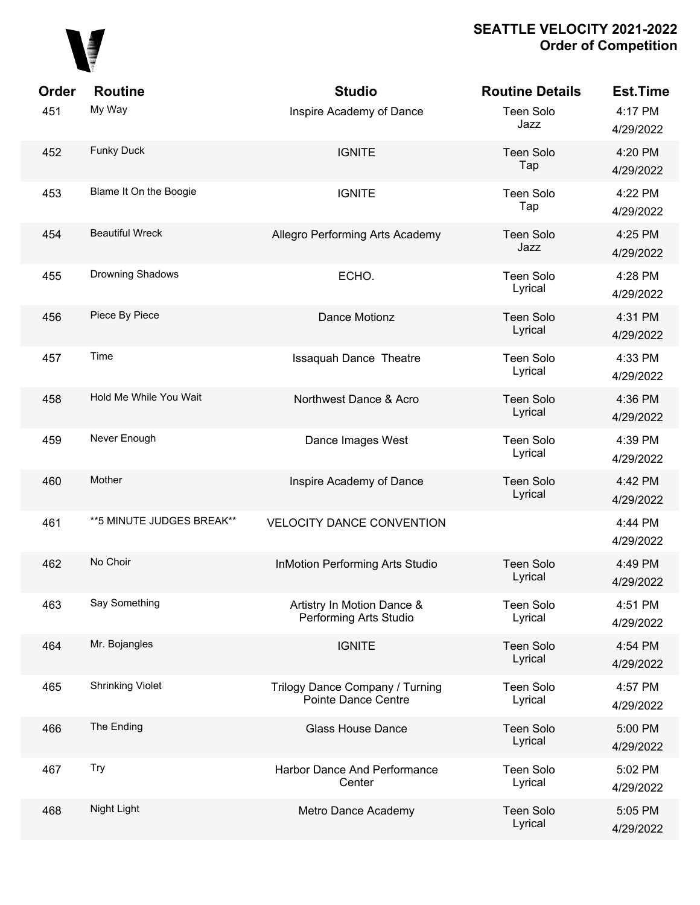

| Order | <b>Routine</b>             | <b>Studio</b>                                                 | <b>Routine Details</b>      | <b>Est.Time</b>      |
|-------|----------------------------|---------------------------------------------------------------|-----------------------------|----------------------|
| 451   | My Way                     | Inspire Academy of Dance                                      | <b>Teen Solo</b><br>Jazz    | 4:17 PM<br>4/29/2022 |
| 452   | <b>Funky Duck</b>          | <b>IGNITE</b>                                                 | <b>Teen Solo</b><br>Tap     | 4:20 PM<br>4/29/2022 |
| 453   | Blame It On the Boogie     | <b>IGNITE</b>                                                 | Teen Solo<br>Tap            | 4:22 PM<br>4/29/2022 |
| 454   | <b>Beautiful Wreck</b>     | Allegro Performing Arts Academy                               | <b>Teen Solo</b><br>Jazz    | 4:25 PM<br>4/29/2022 |
| 455   | Drowning Shadows           | ECHO.                                                         | <b>Teen Solo</b><br>Lyrical | 4:28 PM<br>4/29/2022 |
| 456   | Piece By Piece             | Dance Motionz                                                 | Teen Solo<br>Lyrical        | 4:31 PM<br>4/29/2022 |
| 457   | Time                       | <b>Issaquah Dance Theatre</b>                                 | <b>Teen Solo</b><br>Lyrical | 4:33 PM<br>4/29/2022 |
| 458   | Hold Me While You Wait     | Northwest Dance & Acro                                        | <b>Teen Solo</b><br>Lyrical | 4:36 PM<br>4/29/2022 |
| 459   | Never Enough               | Dance Images West                                             | <b>Teen Solo</b><br>Lyrical | 4:39 PM<br>4/29/2022 |
| 460   | Mother                     | Inspire Academy of Dance                                      | <b>Teen Solo</b><br>Lyrical | 4:42 PM<br>4/29/2022 |
| 461   | ** 5 MINUTE JUDGES BREAK** | <b>VELOCITY DANCE CONVENTION</b>                              |                             | 4:44 PM<br>4/29/2022 |
| 462   | No Choir                   | <b>InMotion Performing Arts Studio</b>                        | <b>Teen Solo</b><br>Lyrical | 4:49 PM<br>4/29/2022 |
| 463   | Say Something              | Artistry In Motion Dance &<br>Performing Arts Studio          | <b>Teen Solo</b><br>Lyrical | 4:51 PM<br>4/29/2022 |
| 464   | Mr. Bojangles              | <b>IGNITE</b>                                                 | <b>Teen Solo</b><br>Lyrical | 4:54 PM<br>4/29/2022 |
| 465   | <b>Shrinking Violet</b>    | Trilogy Dance Company / Turning<br><b>Pointe Dance Centre</b> | Teen Solo<br>Lyrical        | 4:57 PM<br>4/29/2022 |
| 466   | The Ending                 | <b>Glass House Dance</b>                                      | <b>Teen Solo</b><br>Lyrical | 5:00 PM<br>4/29/2022 |
| 467   | <b>Try</b>                 | Harbor Dance And Performance<br>Center                        | <b>Teen Solo</b><br>Lyrical | 5:02 PM<br>4/29/2022 |
| 468   | Night Light                | Metro Dance Academy                                           | <b>Teen Solo</b><br>Lyrical | 5:05 PM<br>4/29/2022 |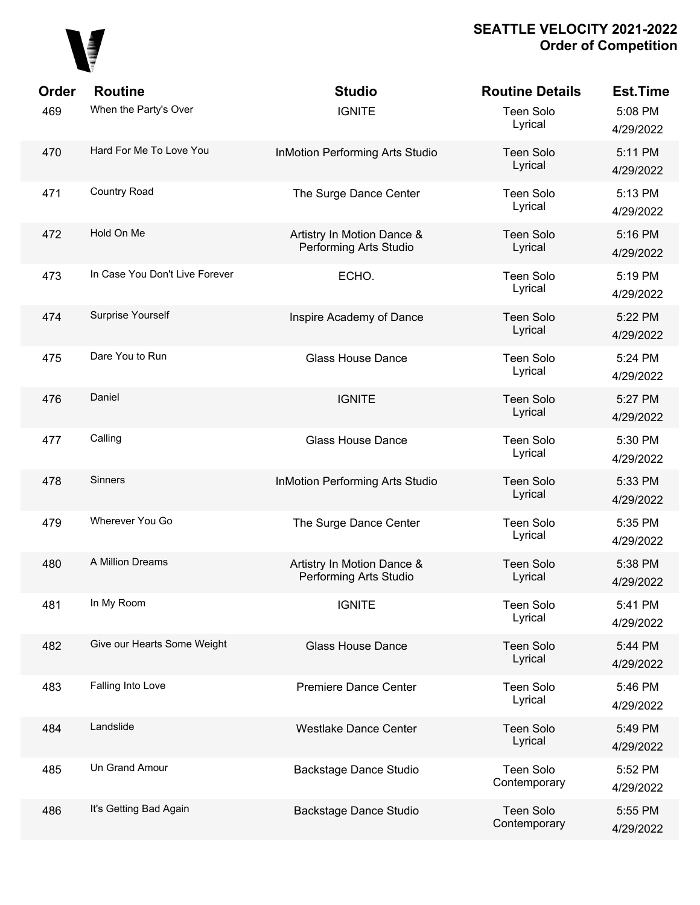

| <b>Order</b> | <b>Routine</b>                 | <b>Studio</b>                                        | <b>Routine Details</b>           | <b>Est.Time</b>      |
|--------------|--------------------------------|------------------------------------------------------|----------------------------------|----------------------|
| 469          | When the Party's Over          | <b>IGNITE</b>                                        | <b>Teen Solo</b><br>Lyrical      | 5:08 PM<br>4/29/2022 |
| 470          | Hard For Me To Love You        | <b>InMotion Performing Arts Studio</b>               | <b>Teen Solo</b><br>Lyrical      | 5:11 PM<br>4/29/2022 |
| 471          | <b>Country Road</b>            | The Surge Dance Center                               | <b>Teen Solo</b><br>Lyrical      | 5:13 PM<br>4/29/2022 |
| 472          | Hold On Me                     | Artistry In Motion Dance &<br>Performing Arts Studio | <b>Teen Solo</b><br>Lyrical      | 5:16 PM<br>4/29/2022 |
| 473          | In Case You Don't Live Forever | ECHO.                                                | <b>Teen Solo</b><br>Lyrical      | 5:19 PM<br>4/29/2022 |
| 474          | Surprise Yourself              | Inspire Academy of Dance                             | <b>Teen Solo</b><br>Lyrical      | 5:22 PM<br>4/29/2022 |
| 475          | Dare You to Run                | <b>Glass House Dance</b>                             | <b>Teen Solo</b><br>Lyrical      | 5:24 PM<br>4/29/2022 |
| 476          | Daniel                         | <b>IGNITE</b>                                        | <b>Teen Solo</b><br>Lyrical      | 5:27 PM<br>4/29/2022 |
| 477          | Calling                        | <b>Glass House Dance</b>                             | <b>Teen Solo</b><br>Lyrical      | 5:30 PM<br>4/29/2022 |
| 478          | Sinners                        | <b>InMotion Performing Arts Studio</b>               | <b>Teen Solo</b><br>Lyrical      | 5:33 PM<br>4/29/2022 |
| 479          | Wherever You Go                | The Surge Dance Center                               | <b>Teen Solo</b><br>Lyrical      | 5:35 PM<br>4/29/2022 |
| 480          | A Million Dreams               | Artistry In Motion Dance &<br>Performing Arts Studio | <b>Teen Solo</b><br>Lyrical      | 5:38 PM<br>4/29/2022 |
| 481          | In My Room                     | <b>IGNITE</b>                                        | <b>Teen Solo</b><br>Lyrical      | 5:41 PM<br>4/29/2022 |
| 482          | Give our Hearts Some Weight    | <b>Glass House Dance</b>                             | Teen Solo<br>Lyrical             | 5:44 PM<br>4/29/2022 |
| 483          | Falling Into Love              | <b>Premiere Dance Center</b>                         | Teen Solo<br>Lyrical             | 5:46 PM<br>4/29/2022 |
| 484          | Landslide                      | <b>Westlake Dance Center</b>                         | Teen Solo<br>Lyrical             | 5:49 PM<br>4/29/2022 |
| 485          | Un Grand Amour                 | Backstage Dance Studio                               | <b>Teen Solo</b><br>Contemporary | 5:52 PM<br>4/29/2022 |
| 486          | It's Getting Bad Again         | Backstage Dance Studio                               | <b>Teen Solo</b><br>Contemporary | 5:55 PM<br>4/29/2022 |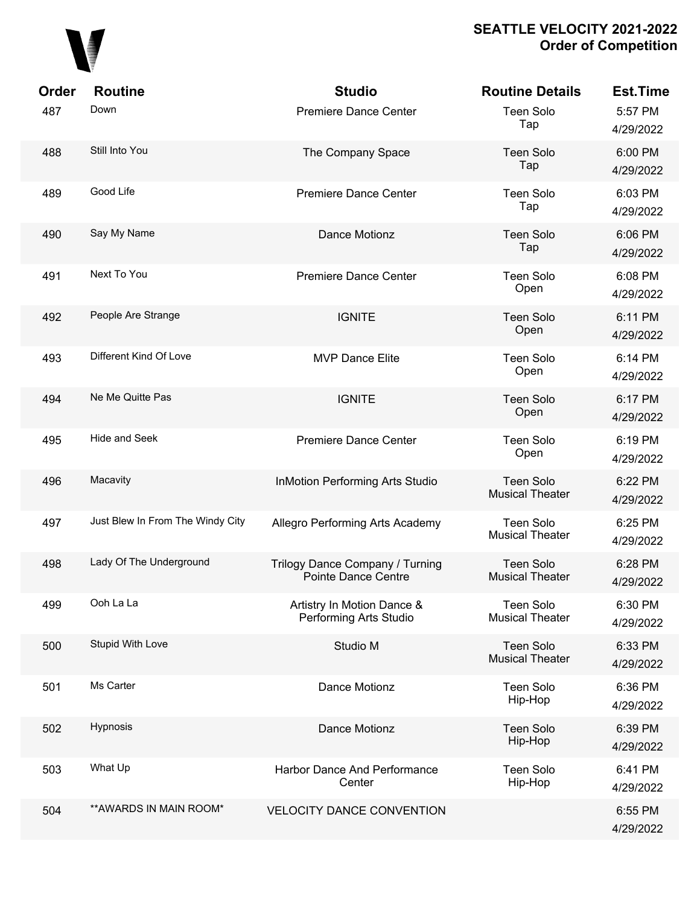

| Order | <b>Routine</b>                   | <b>Studio</b>                                                 | <b>Routine Details</b>                     | <b>Est.Time</b>      |
|-------|----------------------------------|---------------------------------------------------------------|--------------------------------------------|----------------------|
| 487   | Down                             | <b>Premiere Dance Center</b>                                  | Teen Solo<br>Tap                           | 5:57 PM<br>4/29/2022 |
| 488   | Still Into You                   | The Company Space                                             | <b>Teen Solo</b><br>Tap                    | 6:00 PM<br>4/29/2022 |
| 489   | Good Life                        | <b>Premiere Dance Center</b>                                  | Teen Solo<br>Tap                           | 6:03 PM<br>4/29/2022 |
| 490   | Say My Name                      | Dance Motionz                                                 | <b>Teen Solo</b><br>Tap                    | 6:06 PM<br>4/29/2022 |
| 491   | Next To You                      | <b>Premiere Dance Center</b>                                  | Teen Solo<br>Open                          | 6:08 PM<br>4/29/2022 |
| 492   | People Are Strange               | <b>IGNITE</b>                                                 | <b>Teen Solo</b><br>Open                   | 6:11 PM<br>4/29/2022 |
| 493   | Different Kind Of Love           | <b>MVP Dance Elite</b>                                        | Teen Solo<br>Open                          | 6:14 PM<br>4/29/2022 |
| 494   | Ne Me Quitte Pas                 | <b>IGNITE</b>                                                 | <b>Teen Solo</b><br>Open                   | 6:17 PM<br>4/29/2022 |
| 495   | Hide and Seek                    | <b>Premiere Dance Center</b>                                  | Teen Solo<br>Open                          | 6:19 PM<br>4/29/2022 |
| 496   | Macavity                         | <b>InMotion Performing Arts Studio</b>                        | <b>Teen Solo</b><br><b>Musical Theater</b> | 6:22 PM<br>4/29/2022 |
| 497   | Just Blew In From The Windy City | Allegro Performing Arts Academy                               | <b>Teen Solo</b><br><b>Musical Theater</b> | 6:25 PM<br>4/29/2022 |
| 498   | Lady Of The Underground          | Trilogy Dance Company / Turning<br><b>Pointe Dance Centre</b> | <b>Teen Solo</b><br><b>Musical Theater</b> | 6:28 PM<br>4/29/2022 |
| 499   | Ooh La La                        | Artistry In Motion Dance &<br>Performing Arts Studio          | <b>Teen Solo</b><br><b>Musical Theater</b> | 6:30 PM<br>4/29/2022 |
| 500   | Stupid With Love                 | Studio M                                                      | <b>Teen Solo</b><br><b>Musical Theater</b> | 6:33 PM<br>4/29/2022 |
| 501   | Ms Carter                        | Dance Motionz                                                 | <b>Teen Solo</b><br>Hip-Hop                | 6:36 PM<br>4/29/2022 |
| 502   | Hypnosis                         | Dance Motionz                                                 | <b>Teen Solo</b><br>Hip-Hop                | 6:39 PM<br>4/29/2022 |
| 503   | What Up                          | Harbor Dance And Performance<br>Center                        | <b>Teen Solo</b><br>Hip-Hop                | 6:41 PM<br>4/29/2022 |
| 504   | ** AWARDS IN MAIN ROOM*          | <b>VELOCITY DANCE CONVENTION</b>                              |                                            | 6:55 PM<br>4/29/2022 |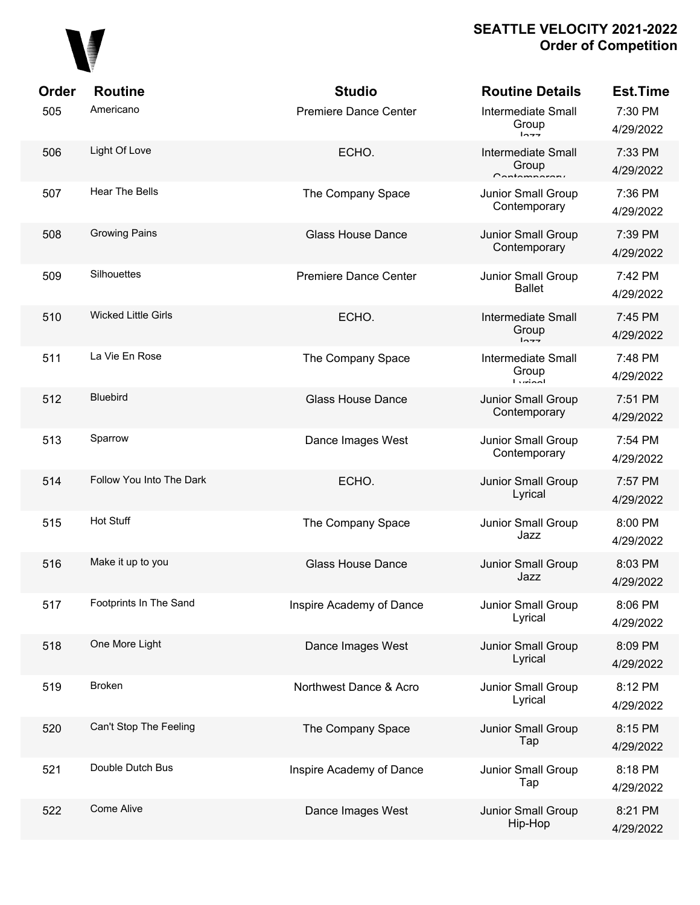

| Order | <b>Routine</b>             | <b>Studio</b>                | <b>Routine Details</b>                                   | <b>Est.Time</b>      |
|-------|----------------------------|------------------------------|----------------------------------------------------------|----------------------|
| 505   | Americano                  | <b>Premiere Dance Center</b> | <b>Intermediate Small</b><br>Group<br>$1 - -$            | 7:30 PM<br>4/29/2022 |
| 506   | Light Of Love              | ECHO.                        | <b>Intermediate Small</b><br>Group<br>$C$ ontomnoroni    | 7:33 PM<br>4/29/2022 |
| 507   | <b>Hear The Bells</b>      | The Company Space            | Junior Small Group<br>Contemporary                       | 7:36 PM<br>4/29/2022 |
| 508   | <b>Growing Pains</b>       | <b>Glass House Dance</b>     | Junior Small Group<br>Contemporary                       | 7:39 PM<br>4/29/2022 |
| 509   | Silhouettes                | <b>Premiere Dance Center</b> | Junior Small Group<br><b>Ballet</b>                      | 7:42 PM<br>4/29/2022 |
| 510   | <b>Wicked Little Girls</b> | ECHO.                        | <b>Intermediate Small</b><br>Group<br>10.77              | 7:45 PM<br>4/29/2022 |
| 511   | La Vie En Rose             | The Company Space            | <b>Intermediate Small</b><br>Group<br>$l$ <i>siminal</i> | 7:48 PM<br>4/29/2022 |
| 512   | <b>Bluebird</b>            | <b>Glass House Dance</b>     | Junior Small Group<br>Contemporary                       | 7:51 PM<br>4/29/2022 |
| 513   | Sparrow                    | Dance Images West            | Junior Small Group<br>Contemporary                       | 7:54 PM<br>4/29/2022 |
| 514   | Follow You Into The Dark   | ECHO.                        | Junior Small Group<br>Lyrical                            | 7:57 PM<br>4/29/2022 |
| 515   | Hot Stuff                  | The Company Space            | Junior Small Group<br>Jazz                               | 8:00 PM<br>4/29/2022 |
| 516   | Make it up to you          | <b>Glass House Dance</b>     | Junior Small Group<br>Jazz                               | 8:03 PM<br>4/29/2022 |
| 517   | Footprints In The Sand     | Inspire Academy of Dance     | Junior Small Group<br>Lyrical                            | 8:06 PM<br>4/29/2022 |
| 518   | One More Light             | Dance Images West            | Junior Small Group<br>Lyrical                            | 8:09 PM<br>4/29/2022 |
| 519   | <b>Broken</b>              | Northwest Dance & Acro       | Junior Small Group<br>Lyrical                            | 8:12 PM<br>4/29/2022 |
| 520   | Can't Stop The Feeling     | The Company Space            | Junior Small Group<br>Tap                                | 8:15 PM<br>4/29/2022 |
| 521   | Double Dutch Bus           | Inspire Academy of Dance     | Junior Small Group<br>Tap                                | 8:18 PM<br>4/29/2022 |
| 522   | Come Alive                 | Dance Images West            | Junior Small Group<br>Hip-Hop                            | 8:21 PM<br>4/29/2022 |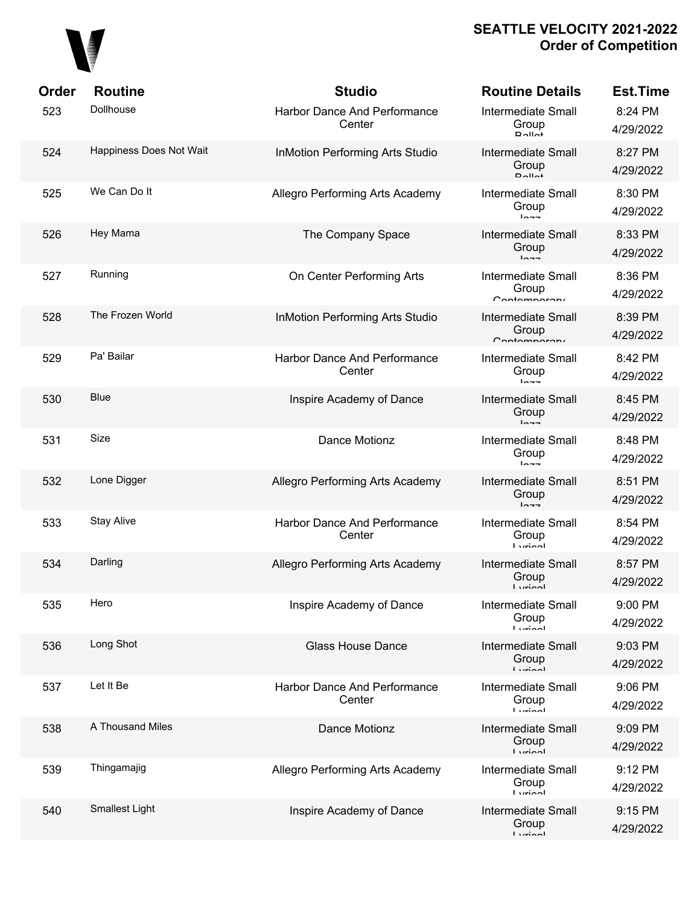

| Order | <b>Routine</b>          | <b>Studio</b>                                 | <b>Routine Details</b>                                   | <b>Est.Time</b>      |
|-------|-------------------------|-----------------------------------------------|----------------------------------------------------------|----------------------|
| 523   | Dollhouse               | <b>Harbor Dance And Performance</b><br>Center | <b>Intermediate Small</b><br>Group<br>$D = IL + I$       | 8:24 PM<br>4/29/2022 |
| 524   | Happiness Does Not Wait | InMotion Performing Arts Studio               | <b>Intermediate Small</b><br>Group<br>$D$ $Al$ $A$       | 8:27 PM<br>4/29/2022 |
| 525   | We Can Do It            | Allegro Performing Arts Academy               | <b>Intermediate Small</b><br>Group<br>$ln - -$           | 8:30 PM<br>4/29/2022 |
| 526   | Hey Mama                | The Company Space                             | <b>Intermediate Small</b><br>Group<br>$ln - -$           | 8:33 PM<br>4/29/2022 |
| 527   | Running                 | On Center Performing Arts                     | <b>Intermediate Small</b><br>Group<br>Contampararu       | 8:36 PM<br>4/29/2022 |
| 528   | The Frozen World        | <b>InMotion Performing Arts Studio</b>        | <b>Intermediate Small</b><br>Group<br>Contamparary       | 8:39 PM<br>4/29/2022 |
| 529   | Pa' Bailar              | <b>Harbor Dance And Performance</b><br>Center | <b>Intermediate Small</b><br>Group<br>$ln - -$           | 8:42 PM<br>4/29/2022 |
| 530   | <b>Blue</b>             | Inspire Academy of Dance                      | <b>Intermediate Small</b><br>Group<br>$ln - -$           | 8:45 PM<br>4/29/2022 |
| 531   | Size                    | Dance Motionz                                 | <b>Intermediate Small</b><br>Group<br>$ln - -$           | 8:48 PM<br>4/29/2022 |
| 532   | Lone Digger             | Allegro Performing Arts Academy               | <b>Intermediate Small</b><br>Group<br>$ln - -$           | 8:51 PM<br>4/29/2022 |
| 533   | <b>Stay Alive</b>       | Harbor Dance And Performance<br>Center        | <b>Intermediate Small</b><br>Group<br><b>Lurinal</b>     | 8:54 PM<br>4/29/2022 |
| 534   | Darling                 | Allegro Performing Arts Academy               | <b>Intermediate Small</b><br>Group<br><b>Lurinal</b>     | 8:57 PM<br>4/29/2022 |
| 535   | Hero                    | Inspire Academy of Dance                      | <b>Intermediate Small</b><br>Group<br><b>Lurinal</b>     | 9:00 PM<br>4/29/2022 |
| 536   | Long Shot               | <b>Glass House Dance</b>                      | <b>Intermediate Small</b><br>Group<br>$l$ <i>siminal</i> | 9:03 PM<br>4/29/2022 |
| 537   | Let It Be               | Harbor Dance And Performance<br>Center        | <b>Intermediate Small</b><br>Group<br><b>Ludon</b>       | 9:06 PM<br>4/29/2022 |
| 538   | A Thousand Miles        | Dance Motionz                                 | <b>Intermediate Small</b><br>Group<br>$l$ <i>siminal</i> | 9:09 PM<br>4/29/2022 |
| 539   | Thingamajig             | Allegro Performing Arts Academy               | <b>Intermediate Small</b><br>Group<br><b>Ludon</b>       | 9:12 PM<br>4/29/2022 |
| 540   | Smallest Light          | Inspire Academy of Dance                      | Intermediate Small<br>Group<br><b>Lurinal</b>            | 9:15 PM<br>4/29/2022 |
|       |                         |                                               |                                                          |                      |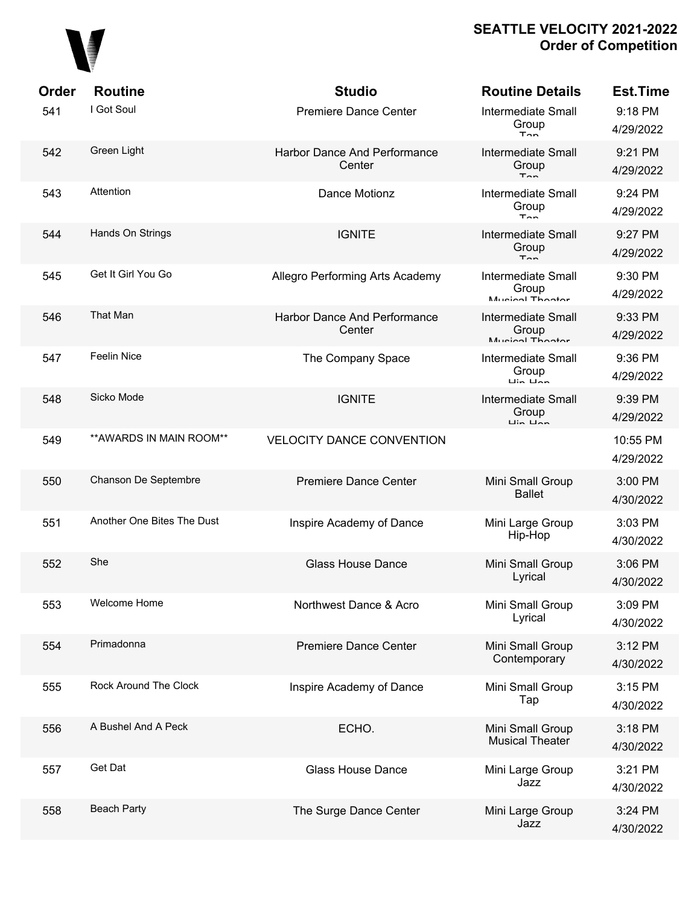

| Order | <b>Routine</b>             | <b>Studio</b>                          | <b>Routine Details</b>                                                    | <b>Est.Time</b>       |
|-------|----------------------------|----------------------------------------|---------------------------------------------------------------------------|-----------------------|
| 541   | I Got Soul                 | <b>Premiere Dance Center</b>           | <b>Intermediate Small</b><br>Group<br>$T_{nn}$                            | 9:18 PM<br>4/29/2022  |
| 542   | Green Light                | Harbor Dance And Performance<br>Center | <b>Intermediate Small</b><br>Group<br>$T_{nn}$                            | 9:21 PM<br>4/29/2022  |
| 543   | Attention                  | Dance Motionz                          | <b>Intermediate Small</b><br>Group<br>$T_{nn}$                            | 9:24 PM<br>4/29/2022  |
| 544   | Hands On Strings           | <b>IGNITE</b>                          | <b>Intermediate Small</b><br>Group<br>$T_{\cap n}$                        | 9:27 PM<br>4/29/2022  |
| 545   | Get It Girl You Go         | Allegro Performing Arts Academy        | <b>Intermediate Small</b><br>Group<br>Munical Thootar                     | 9:30 PM<br>4/29/2022  |
| 546   | That Man                   | Harbor Dance And Performance<br>Center | Intermediate Small<br>Group<br>Munical Thootar                            | 9:33 PM<br>4/29/2022  |
| 547   | <b>Feelin Nice</b>         | The Company Space                      | <b>Intermediate Small</b><br>Group<br>$\overline{u}$ in $\overline{u}$ an | 9:36 PM<br>4/29/2022  |
| 548   | Sicko Mode                 | <b>IGNITE</b>                          | <b>Intermediate Small</b><br>Group<br>$\overline{u}$ in $\overline{u}$ an | 9:39 PM<br>4/29/2022  |
| 549   | ** AWARDS IN MAIN ROOM**   | <b>VELOCITY DANCE CONVENTION</b>       |                                                                           | 10:55 PM<br>4/29/2022 |
| 550   | Chanson De Septembre       | <b>Premiere Dance Center</b>           | Mini Small Group<br><b>Ballet</b>                                         | 3:00 PM<br>4/30/2022  |
| 551   | Another One Bites The Dust | Inspire Academy of Dance               | Mini Large Group<br>Hip-Hop                                               | 3:03 PM<br>4/30/2022  |
| 552   | She                        | <b>Glass House Dance</b>               | Mini Small Group<br>Lyrical                                               | 3:06 PM<br>4/30/2022  |
| 553   | Welcome Home               | Northwest Dance & Acro                 | Mini Small Group<br>Lyrical                                               | 3:09 PM<br>4/30/2022  |
| 554   | Primadonna                 | Premiere Dance Center                  | Mini Small Group<br>Contemporary                                          | 3:12 PM<br>4/30/2022  |
| 555   | Rock Around The Clock      | Inspire Academy of Dance               | Mini Small Group<br>Tap                                                   | 3:15 PM<br>4/30/2022  |
| 556   | A Bushel And A Peck        | ECHO.                                  | Mini Small Group<br><b>Musical Theater</b>                                | 3:18 PM<br>4/30/2022  |
| 557   | Get Dat                    | <b>Glass House Dance</b>               | Mini Large Group<br>Jazz                                                  | 3:21 PM<br>4/30/2022  |
| 558   | <b>Beach Party</b>         | The Surge Dance Center                 | Mini Large Group<br>Jazz                                                  | 3:24 PM<br>4/30/2022  |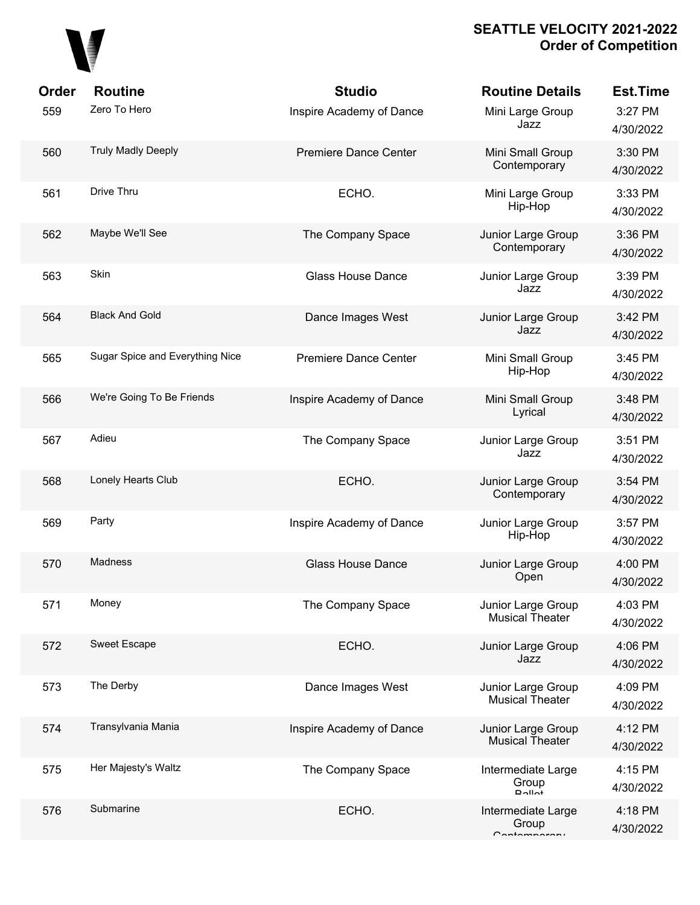

| Order | <b>Routine</b>                  | <b>Studio</b>                | <b>Routine Details</b>                                   | <b>Est.Time</b>      |
|-------|---------------------------------|------------------------------|----------------------------------------------------------|----------------------|
| 559   | Zero To Hero                    | Inspire Academy of Dance     | Mini Large Group<br>Jazz                                 | 3:27 PM<br>4/30/2022 |
| 560   | <b>Truly Madly Deeply</b>       | <b>Premiere Dance Center</b> | Mini Small Group<br>Contemporary                         | 3:30 PM<br>4/30/2022 |
| 561   | Drive Thru                      | ECHO.                        | Mini Large Group<br>Hip-Hop                              | 3:33 PM<br>4/30/2022 |
| 562   | Maybe We'll See                 | The Company Space            | Junior Large Group<br>Contemporary                       | 3:36 PM<br>4/30/2022 |
| 563   | Skin                            | <b>Glass House Dance</b>     | Junior Large Group<br>Jazz                               | 3:39 PM<br>4/30/2022 |
| 564   | <b>Black And Gold</b>           | Dance Images West            | Junior Large Group<br>Jazz                               | 3:42 PM<br>4/30/2022 |
| 565   | Sugar Spice and Everything Nice | <b>Premiere Dance Center</b> | Mini Small Group<br>Hip-Hop                              | 3:45 PM<br>4/30/2022 |
| 566   | We're Going To Be Friends       | Inspire Academy of Dance     | Mini Small Group<br>Lyrical                              | 3:48 PM<br>4/30/2022 |
| 567   | Adieu                           | The Company Space            | Junior Large Group<br>Jazz                               | 3:51 PM<br>4/30/2022 |
| 568   | Lonely Hearts Club              | ECHO.                        | Junior Large Group<br>Contemporary                       | 3:54 PM<br>4/30/2022 |
| 569   | Party                           | Inspire Academy of Dance     | Junior Large Group<br>Hip-Hop                            | 3:57 PM<br>4/30/2022 |
| 570   | <b>Madness</b>                  | <b>Glass House Dance</b>     | Junior Large Group<br>Open                               | 4:00 PM<br>4/30/2022 |
| 571   | Money                           | The Company Space            | Junior Large Group<br><b>Musical Theater</b>             | 4:03 PM<br>4/30/2022 |
| 572   | Sweet Escape                    | ECHO.                        | Junior Large Group<br>Jazz                               | 4:06 PM<br>4/30/2022 |
| 573   | The Derby                       | Dance Images West            | Junior Large Group<br><b>Musical Theater</b>             | 4:09 PM<br>4/30/2022 |
| 574   | Transylvania Mania              | Inspire Academy of Dance     | Junior Large Group<br><b>Musical Theater</b>             | 4:12 PM<br>4/30/2022 |
| 575   | Her Majesty's Waltz             | The Company Space            | Intermediate Large<br>Group<br>$D$ $Al$ $A$ <sup>+</sup> | 4:15 PM<br>4/30/2022 |
| 576   | Submarine                       | ECHO.                        | Intermediate Large<br>Group<br>$C$ ontomnoroni           | 4:18 PM<br>4/30/2022 |
|       |                                 |                              |                                                          |                      |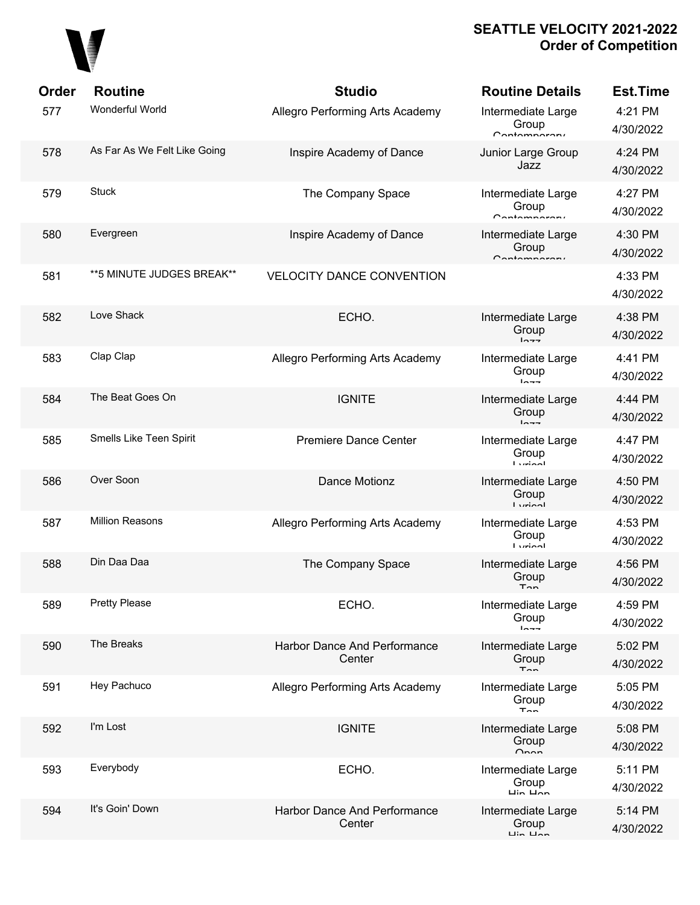

| Order | <b>Routine</b>               | <b>Studio</b>                          | <b>Routine Details</b>                                             | Est.Time             |
|-------|------------------------------|----------------------------------------|--------------------------------------------------------------------|----------------------|
| 577   | Wonderful World              | Allegro Performing Arts Academy        | Intermediate Large<br>Group<br>Contamparari                        | 4:21 PM<br>4/30/2022 |
| 578   | As Far As We Felt Like Going | Inspire Academy of Dance               | Junior Large Group<br>Jazz                                         | 4:24 PM<br>4/30/2022 |
| 579   | <b>Stuck</b>                 | The Company Space                      | Intermediate Large<br>Group<br>$C$ ontomporoni                     | 4:27 PM<br>4/30/2022 |
| 580   | Evergreen                    | Inspire Academy of Dance               | Intermediate Large<br>Group<br>Contamparary                        | 4:30 PM<br>4/30/2022 |
| 581   | **5 MINUTE JUDGES BREAK**    | <b>VELOCITY DANCE CONVENTION</b>       |                                                                    | 4:33 PM<br>4/30/2022 |
| 582   | Love Shack                   | ECHO.                                  | Intermediate Large<br>Group<br>$ln - -$                            | 4:38 PM<br>4/30/2022 |
| 583   | Clap Clap                    | Allegro Performing Arts Academy        | Intermediate Large<br>Group<br>$ln - -$                            | 4:41 PM<br>4/30/2022 |
| 584   | The Beat Goes On             | <b>IGNITE</b>                          | Intermediate Large<br>Group<br>$ln - -$                            | 4:44 PM<br>4/30/2022 |
| 585   | Smells Like Teen Spirit      | <b>Premiere Dance Center</b>           | Intermediate Large<br>Group<br><b>Ludool</b>                       | 4:47 PM<br>4/30/2022 |
| 586   | Over Soon                    | Dance Motionz                          | Intermediate Large<br>Group<br><b>Lurinal</b>                      | 4:50 PM<br>4/30/2022 |
| 587   | <b>Million Reasons</b>       | Allegro Performing Arts Academy        | Intermediate Large<br>Group<br><b>Ludool</b>                       | 4:53 PM<br>4/30/2022 |
| 588   | Din Daa Daa                  | The Company Space                      | Intermediate Large<br>Group<br>$T_{nn}$                            | 4:56 PM<br>4/30/2022 |
| 589   | <b>Pretty Please</b>         | ECHO.                                  | Intermediate Large<br>Group<br>$ln - -$                            | 4:59 PM<br>4/30/2022 |
| 590   | The Breaks                   | Harbor Dance And Performance<br>Center | Intermediate Large<br>Group<br>$T_{\cap n}$                        | 5:02 PM<br>4/30/2022 |
| 591   | Hey Pachuco                  | Allegro Performing Arts Academy        | Intermediate Large<br>Group<br>$T_{\rm{on}}$                       | 5:05 PM<br>4/30/2022 |
| 592   | I'm Lost                     | <b>IGNITE</b>                          | Intermediate Large<br>Group<br>O <sub>nnon</sub>                   | 5:08 PM<br>4/30/2022 |
| 593   | Everybody                    | ECHO.                                  | Intermediate Large<br>Group<br>Lin Linn                            | 5:11 PM<br>4/30/2022 |
| 594   | It's Goin' Down              | Harbor Dance And Performance<br>Center | Intermediate Large<br>Group<br>$\overline{L}$ in $\overline{L}$ an | 5:14 PM<br>4/30/2022 |
|       |                              |                                        |                                                                    |                      |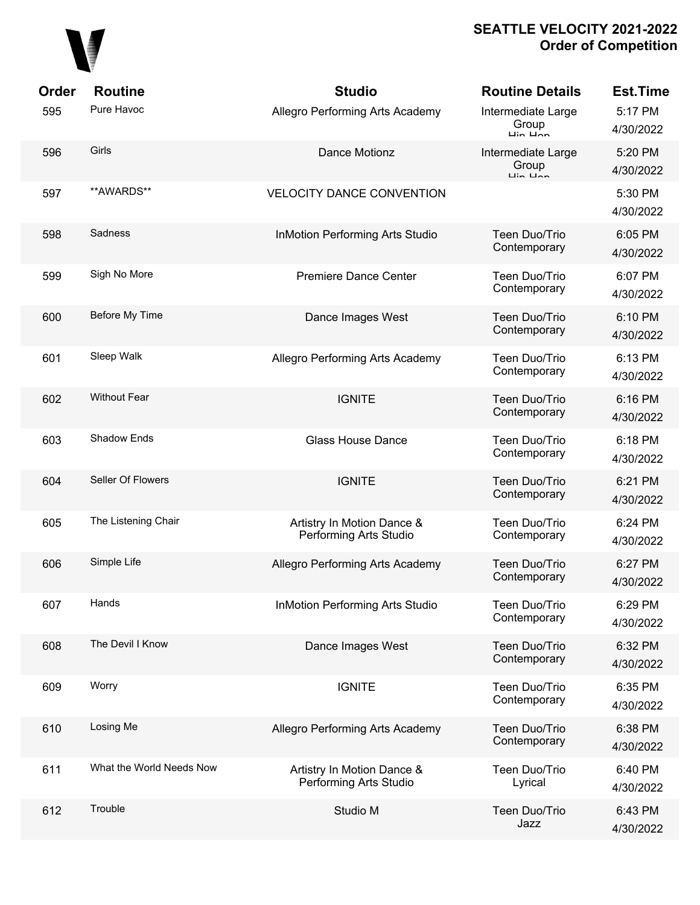

| Order | <b>Routine</b>           | <b>Studio</b>                                        | <b>Routine Details</b>                                             | <b>Est.Time</b>      |
|-------|--------------------------|------------------------------------------------------|--------------------------------------------------------------------|----------------------|
| 595   | Pure Havoc               | Allegro Performing Arts Academy                      | Intermediate Large<br>Group<br>$\overline{u}$ in $\overline{u}$ an | 5:17 PM<br>4/30/2022 |
| 596   | Girls                    | <b>Dance Motionz</b>                                 | Intermediate Large<br>Group<br>$\overline{u}$ in $\overline{u}$    | 5:20 PM<br>4/30/2022 |
| 597   | **AWARDS**               | <b>VELOCITY DANCE CONVENTION</b>                     |                                                                    | 5:30 PM<br>4/30/2022 |
| 598   | Sadness                  | <b>InMotion Performing Arts Studio</b>               | Teen Duo/Trio<br>Contemporary                                      | 6:05 PM<br>4/30/2022 |
| 599   | Sigh No More             | <b>Premiere Dance Center</b>                         | Teen Duo/Trio<br>Contemporary                                      | 6:07 PM<br>4/30/2022 |
| 600   | Before My Time           | Dance Images West                                    | Teen Duo/Trio<br>Contemporary                                      | 6:10 PM<br>4/30/2022 |
| 601   | Sleep Walk               | Allegro Performing Arts Academy                      | Teen Duo/Trio<br>Contemporary                                      | 6:13 PM<br>4/30/2022 |
| 602   | <b>Without Fear</b>      | <b>IGNITE</b>                                        | Teen Duo/Trio<br>Contemporary                                      | 6:16 PM<br>4/30/2022 |
| 603   | Shadow Ends              | <b>Glass House Dance</b>                             | Teen Duo/Trio<br>Contemporary                                      | 6:18 PM<br>4/30/2022 |
| 604   | Seller Of Flowers        | <b>IGNITE</b>                                        | Teen Duo/Trio<br>Contemporary                                      | 6:21 PM<br>4/30/2022 |
| 605   | The Listening Chair      | Artistry In Motion Dance &<br>Performing Arts Studio | Teen Duo/Trio<br>Contemporary                                      | 6:24 PM<br>4/30/2022 |
| 606   | Simple Life              | Allegro Performing Arts Academy                      | Teen Duo/Trio<br>Contemporary                                      | 6:27 PM<br>4/30/2022 |
| 607   | Hands                    | <b>InMotion Performing Arts Studio</b>               | Teen Duo/Trio<br>Contemporary                                      | 6:29 PM<br>4/30/2022 |
| 608   | The Devil I Know         | Dance Images West                                    | Teen Duo/Trio<br>Contemporary                                      | 6:32 PM<br>4/30/2022 |
| 609   | Worry                    | <b>IGNITE</b>                                        | Teen Duo/Trio<br>Contemporary                                      | 6:35 PM<br>4/30/2022 |
| 610   | Losing Me                | Allegro Performing Arts Academy                      | Teen Duo/Trio<br>Contemporary                                      | 6:38 PM<br>4/30/2022 |
| 611   | What the World Needs Now | Artistry In Motion Dance &<br>Performing Arts Studio | Teen Duo/Trio<br>Lyrical                                           | 6:40 PM<br>4/30/2022 |
| 612   | Trouble                  | Studio M                                             | Teen Duo/Trio<br>Jazz                                              | 6:43 PM<br>4/30/2022 |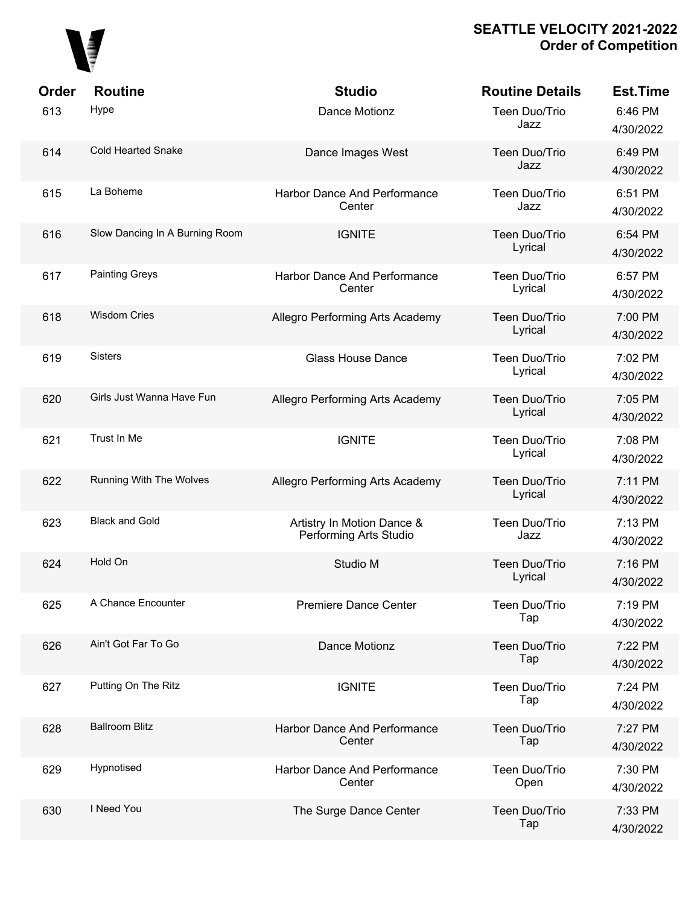

| Order | <b>Routine</b>                 | <b>Studio</b>                                        | <b>Routine Details</b>   | <b>Est.Time</b>      |
|-------|--------------------------------|------------------------------------------------------|--------------------------|----------------------|
| 613   | Hype                           | Dance Motionz                                        | Teen Duo/Trio<br>Jazz    | 6:46 PM<br>4/30/2022 |
| 614   | <b>Cold Hearted Snake</b>      | Dance Images West                                    | Teen Duo/Trio<br>Jazz    | 6:49 PM<br>4/30/2022 |
| 615   | La Boheme                      | Harbor Dance And Performance<br>Center               | Teen Duo/Trio<br>Jazz    | 6:51 PM<br>4/30/2022 |
| 616   | Slow Dancing In A Burning Room | <b>IGNITE</b>                                        | Teen Duo/Trio<br>Lyrical | 6:54 PM<br>4/30/2022 |
| 617   | <b>Painting Greys</b>          | Harbor Dance And Performance<br>Center               | Teen Duo/Trio<br>Lyrical | 6:57 PM<br>4/30/2022 |
| 618   | <b>Wisdom Cries</b>            | Allegro Performing Arts Academy                      | Teen Duo/Trio<br>Lyrical | 7:00 PM<br>4/30/2022 |
| 619   | <b>Sisters</b>                 | <b>Glass House Dance</b>                             | Teen Duo/Trio<br>Lyrical | 7:02 PM<br>4/30/2022 |
| 620   | Girls Just Wanna Have Fun      | Allegro Performing Arts Academy                      | Teen Duo/Trio<br>Lyrical | 7:05 PM<br>4/30/2022 |
| 621   | Trust In Me                    | <b>IGNITE</b>                                        | Teen Duo/Trio<br>Lyrical | 7:08 PM<br>4/30/2022 |
| 622   | Running With The Wolves        | Allegro Performing Arts Academy                      | Teen Duo/Trio<br>Lyrical | 7:11 PM<br>4/30/2022 |
| 623   | <b>Black and Gold</b>          | Artistry In Motion Dance &<br>Performing Arts Studio | Teen Duo/Trio<br>Jazz    | 7:13 PM<br>4/30/2022 |
| 624   | Hold On                        | Studio M                                             | Teen Duo/Trio<br>Lyrical | 7:16 PM<br>4/30/2022 |
| 625   | A Chance Encounter             | <b>Premiere Dance Center</b>                         | Teen Duo/Trio<br>Tap     | 7:19 PM<br>4/30/2022 |
| 626   | Ain't Got Far To Go            | Dance Motionz                                        | Teen Duo/Trio<br>Tap     | 7:22 PM<br>4/30/2022 |
| 627   | Putting On The Ritz            | <b>IGNITE</b>                                        | Teen Duo/Trio<br>Tap     | 7:24 PM<br>4/30/2022 |
| 628   | <b>Ballroom Blitz</b>          | Harbor Dance And Performance<br>Center               | Teen Duo/Trio<br>Tap     | 7:27 PM<br>4/30/2022 |
| 629   | Hypnotised                     | Harbor Dance And Performance<br>Center               | Teen Duo/Trio<br>Open    | 7:30 PM<br>4/30/2022 |
| 630   | I Need You                     | The Surge Dance Center                               | Teen Duo/Trio<br>Tap     | 7:33 PM<br>4/30/2022 |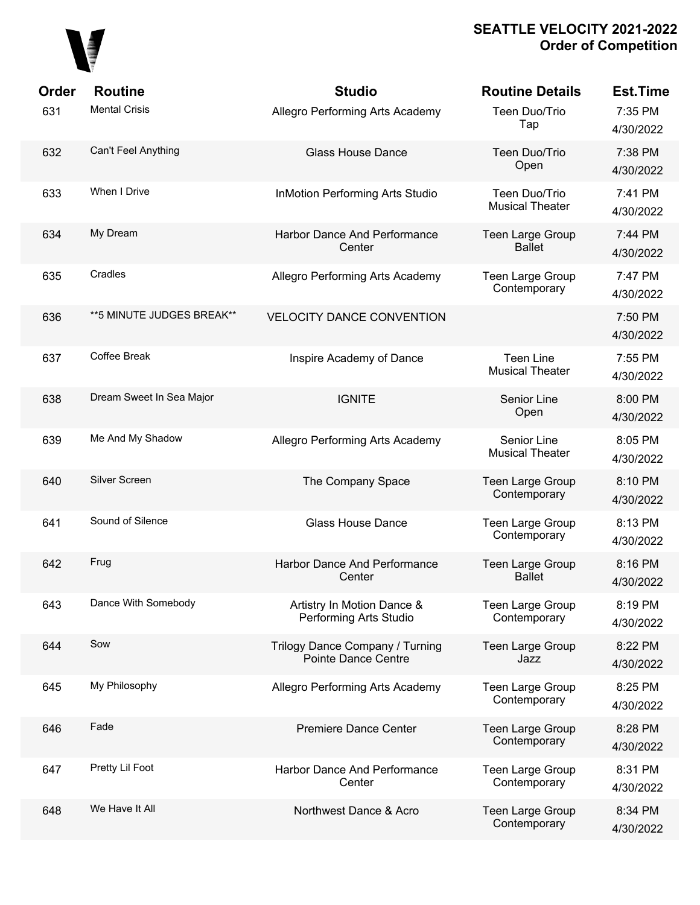

| Order | <b>Routine</b>             | <b>Studio</b>                                                 | <b>Routine Details</b>                     | <b>Est.Time</b>      |
|-------|----------------------------|---------------------------------------------------------------|--------------------------------------------|----------------------|
| 631   | <b>Mental Crisis</b>       | Allegro Performing Arts Academy                               | Teen Duo/Trio<br>Tap                       | 7:35 PM<br>4/30/2022 |
| 632   | Can't Feel Anything        | <b>Glass House Dance</b>                                      | Teen Duo/Trio<br>Open                      | 7:38 PM<br>4/30/2022 |
| 633   | When I Drive               | InMotion Performing Arts Studio                               | Teen Duo/Trio<br><b>Musical Theater</b>    | 7:41 PM<br>4/30/2022 |
| 634   | My Dream                   | Harbor Dance And Performance<br>Center                        | Teen Large Group<br><b>Ballet</b>          | 7:44 PM<br>4/30/2022 |
| 635   | Cradles                    | Allegro Performing Arts Academy                               | Teen Large Group<br>Contemporary           | 7:47 PM<br>4/30/2022 |
| 636   | ** 5 MINUTE JUDGES BREAK** | VELOCITY DANCE CONVENTION                                     |                                            | 7:50 PM<br>4/30/2022 |
| 637   | Coffee Break               | Inspire Academy of Dance                                      | <b>Teen Line</b><br><b>Musical Theater</b> | 7:55 PM<br>4/30/2022 |
| 638   | Dream Sweet In Sea Major   | <b>IGNITE</b>                                                 | Senior Line<br>Open                        | 8:00 PM<br>4/30/2022 |
| 639   | Me And My Shadow           | Allegro Performing Arts Academy                               | Senior Line<br><b>Musical Theater</b>      | 8:05 PM<br>4/30/2022 |
| 640   | Silver Screen              | The Company Space                                             | Teen Large Group<br>Contemporary           | 8:10 PM<br>4/30/2022 |
| 641   | Sound of Silence           | <b>Glass House Dance</b>                                      | Teen Large Group<br>Contemporary           | 8:13 PM<br>4/30/2022 |
| 642   | Frug                       | Harbor Dance And Performance<br>Center                        | Teen Large Group<br><b>Ballet</b>          | 8:16 PM<br>4/30/2022 |
| 643   | Dance With Somebody        | Artistry In Motion Dance &<br>Performing Arts Studio          | Teen Large Group<br>Contemporary           | 8:19 PM<br>4/30/2022 |
| 644   | Sow                        | Trilogy Dance Company / Turning<br><b>Pointe Dance Centre</b> | Teen Large Group<br>Jazz                   | 8:22 PM<br>4/30/2022 |
| 645   | My Philosophy              | Allegro Performing Arts Academy                               | Teen Large Group<br>Contemporary           | 8:25 PM<br>4/30/2022 |
| 646   | Fade                       | Premiere Dance Center                                         | Teen Large Group<br>Contemporary           | 8:28 PM<br>4/30/2022 |
| 647   | Pretty Lil Foot            | Harbor Dance And Performance<br>Center                        | Teen Large Group<br>Contemporary           | 8:31 PM<br>4/30/2022 |
| 648   | We Have It All             | Northwest Dance & Acro                                        | Teen Large Group<br>Contemporary           | 8:34 PM<br>4/30/2022 |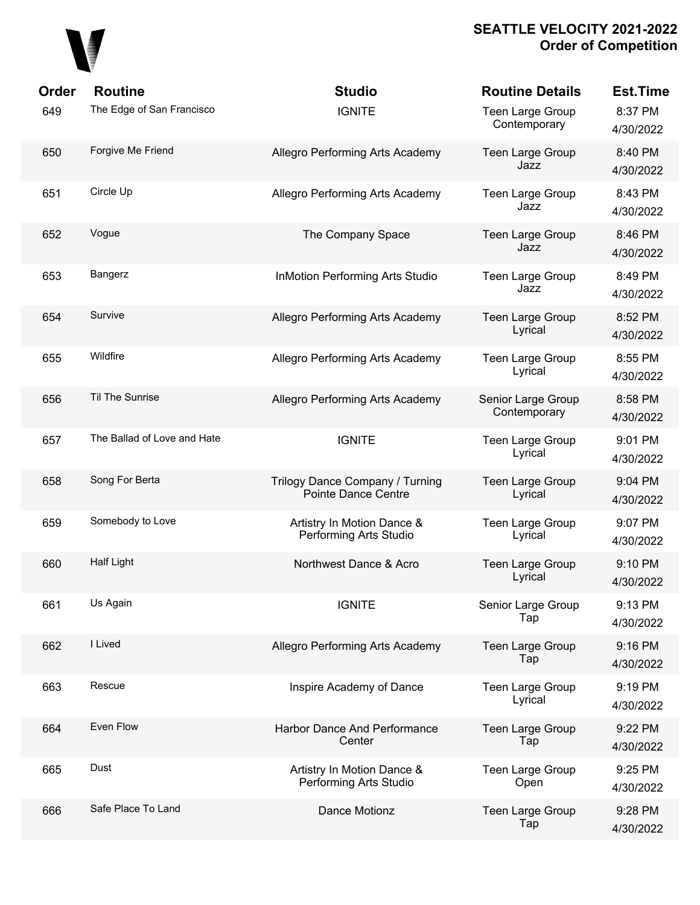

| Order | <b>Routine</b>              | <b>Studio</b>                                                 | <b>Routine Details</b>             | <b>Est.Time</b>      |
|-------|-----------------------------|---------------------------------------------------------------|------------------------------------|----------------------|
| 649   | The Edge of San Francisco   | <b>IGNITE</b>                                                 | Teen Large Group<br>Contemporary   | 8:37 PM<br>4/30/2022 |
| 650   | Forgive Me Friend           | Allegro Performing Arts Academy                               | Teen Large Group<br>Jazz           | 8:40 PM<br>4/30/2022 |
| 651   | Circle Up                   | Allegro Performing Arts Academy                               | Teen Large Group<br>Jazz           | 8:43 PM<br>4/30/2022 |
| 652   | Vogue                       | The Company Space                                             | Teen Large Group<br>Jazz           | 8:46 PM<br>4/30/2022 |
| 653   | Bangerz                     | <b>InMotion Performing Arts Studio</b>                        | Teen Large Group<br>Jazz           | 8:49 PM<br>4/30/2022 |
| 654   | Survive                     | Allegro Performing Arts Academy                               | Teen Large Group<br>Lyrical        | 8:52 PM<br>4/30/2022 |
| 655   | Wildfire                    | Allegro Performing Arts Academy                               | Teen Large Group<br>Lyrical        | 8:55 PM<br>4/30/2022 |
| 656   | Til The Sunrise             | Allegro Performing Arts Academy                               | Senior Large Group<br>Contemporary | 8:58 PM<br>4/30/2022 |
| 657   | The Ballad of Love and Hate | <b>IGNITE</b>                                                 | Teen Large Group<br>Lyrical        | 9:01 PM<br>4/30/2022 |
| 658   | Song For Berta              | Trilogy Dance Company / Turning<br><b>Pointe Dance Centre</b> | Teen Large Group<br>Lyrical        | 9:04 PM<br>4/30/2022 |
| 659   | Somebody to Love            | Artistry In Motion Dance &<br>Performing Arts Studio          | Teen Large Group<br>Lyrical        | 9:07 PM<br>4/30/2022 |
| 660   | <b>Half Light</b>           | Northwest Dance & Acro                                        | Teen Large Group<br>Lyrical        | 9:10 PM<br>4/30/2022 |
| 661   | Us Again                    | <b>IGNITE</b>                                                 | Senior Large Group<br>Tap          | 9:13 PM<br>4/30/2022 |
| 662   | I Lived                     | Allegro Performing Arts Academy                               | Teen Large Group<br>Tap            | 9:16 PM<br>4/30/2022 |
| 663   | Rescue                      | Inspire Academy of Dance                                      | Teen Large Group<br>Lyrical        | 9:19 PM<br>4/30/2022 |
| 664   | Even Flow                   | Harbor Dance And Performance<br>Center                        | Teen Large Group<br>Tap            | 9:22 PM<br>4/30/2022 |
| 665   | Dust                        | Artistry In Motion Dance &<br>Performing Arts Studio          | Teen Large Group<br>Open           | 9:25 PM<br>4/30/2022 |
| 666   | Safe Place To Land          | Dance Motionz                                                 | Teen Large Group<br>Tap            | 9:28 PM<br>4/30/2022 |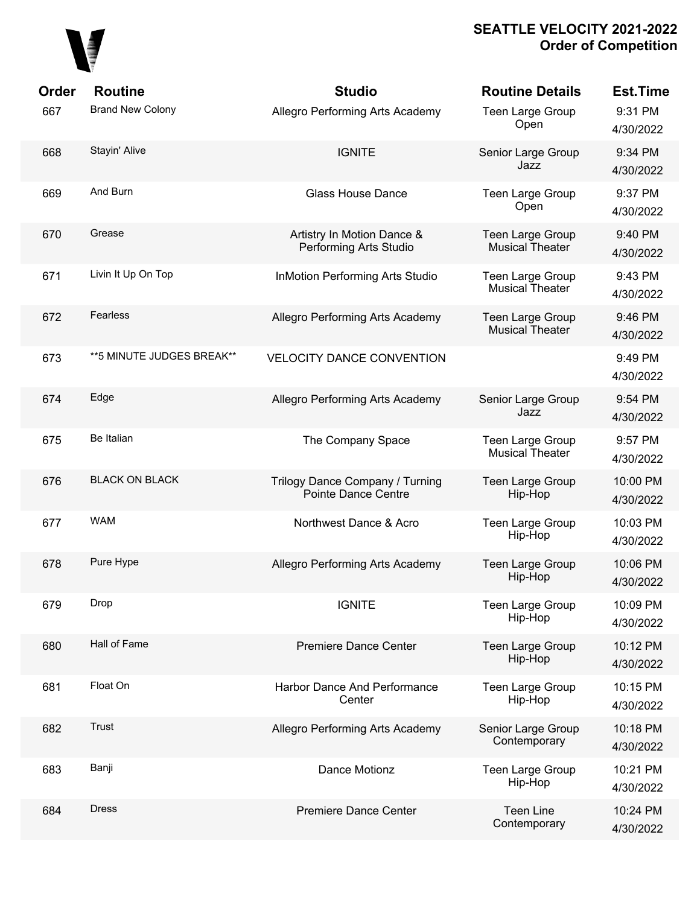

| Order | <b>Routine</b>             | <b>Studio</b>                                                 | <b>Routine Details</b>                            | <b>Est.Time</b>       |
|-------|----------------------------|---------------------------------------------------------------|---------------------------------------------------|-----------------------|
| 667   | <b>Brand New Colony</b>    | Allegro Performing Arts Academy                               | Teen Large Group<br>Open                          | 9:31 PM<br>4/30/2022  |
| 668   | Stayin' Alive              | <b>IGNITE</b>                                                 | Senior Large Group<br>Jazz                        | 9:34 PM<br>4/30/2022  |
| 669   | And Burn                   | <b>Glass House Dance</b>                                      | Teen Large Group<br>Open                          | 9:37 PM<br>4/30/2022  |
| 670   | Grease                     | Artistry In Motion Dance &<br>Performing Arts Studio          | <b>Teen Large Group</b><br><b>Musical Theater</b> | 9:40 PM<br>4/30/2022  |
| 671   | Livin It Up On Top         | <b>InMotion Performing Arts Studio</b>                        | Teen Large Group<br><b>Musical Theater</b>        | 9:43 PM<br>4/30/2022  |
| 672   | Fearless                   | Allegro Performing Arts Academy                               | Teen Large Group<br>Musical Theater               | 9:46 PM<br>4/30/2022  |
| 673   | ** 5 MINUTE JUDGES BREAK** | <b>VELOCITY DANCE CONVENTION</b>                              |                                                   | 9:49 PM<br>4/30/2022  |
| 674   | Edge                       | Allegro Performing Arts Academy                               | Senior Large Group<br>Jazz                        | 9:54 PM<br>4/30/2022  |
| 675   | Be Italian                 | The Company Space                                             | Teen Large Group<br><b>Musical Theater</b>        | 9:57 PM<br>4/30/2022  |
| 676   | <b>BLACK ON BLACK</b>      | Trilogy Dance Company / Turning<br><b>Pointe Dance Centre</b> | <b>Teen Large Group</b><br>Hip-Hop                | 10:00 PM<br>4/30/2022 |
| 677   | <b>WAM</b>                 | Northwest Dance & Acro                                        | Teen Large Group<br>Hip-Hop                       | 10:03 PM<br>4/30/2022 |
| 678   | Pure Hype                  | Allegro Performing Arts Academy                               | <b>Teen Large Group</b><br>Hip-Hop                | 10:06 PM<br>4/30/2022 |
| 679   | Drop                       | <b>IGNITE</b>                                                 | <b>Teen Large Group</b><br>Hip-Hop                | 10:09 PM<br>4/30/2022 |
| 680   | Hall of Fame               | Premiere Dance Center                                         | Teen Large Group<br>Hip-Hop                       | 10:12 PM<br>4/30/2022 |
| 681   | Float On                   | Harbor Dance And Performance<br>Center                        | Teen Large Group<br>Hip-Hop                       | 10:15 PM<br>4/30/2022 |
| 682   | Trust                      | Allegro Performing Arts Academy                               | Senior Large Group<br>Contemporary                | 10:18 PM<br>4/30/2022 |
| 683   | Banji                      | Dance Motionz                                                 | Teen Large Group<br>Hip-Hop                       | 10:21 PM<br>4/30/2022 |
| 684   | <b>Dress</b>               | <b>Premiere Dance Center</b>                                  | <b>Teen Line</b><br>Contemporary                  | 10:24 PM<br>4/30/2022 |